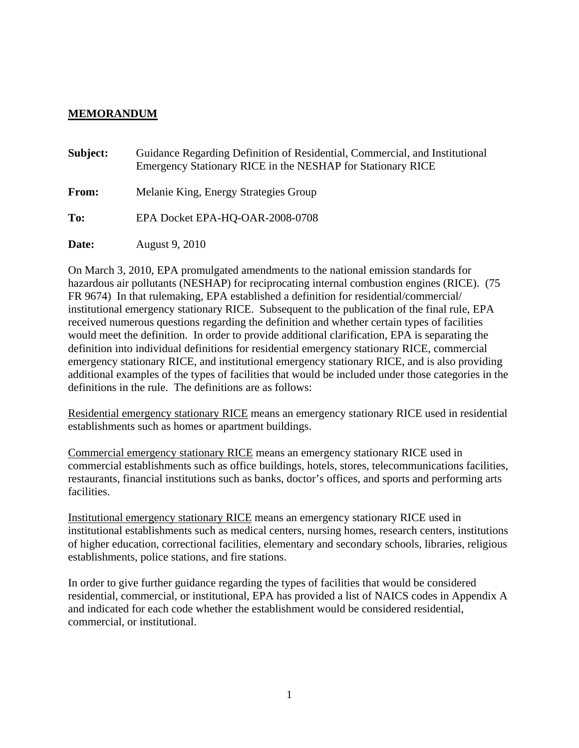## **MEMORANDUM**

| Subject: | Guidance Regarding Definition of Residential, Commercial, and Institutional<br>Emergency Stationary RICE in the NESHAP for Stationary RICE |
|----------|--------------------------------------------------------------------------------------------------------------------------------------------|
| From:    | Melanie King, Energy Strategies Group                                                                                                      |
| To:      | EPA Docket EPA-HQ-OAR-2008-0708                                                                                                            |
| Date:    | August 9, 2010                                                                                                                             |

On March 3, 2010, EPA promulgated amendments to the national emission standards for hazardous air pollutants (NESHAP) for reciprocating internal combustion engines (RICE). (75 FR 9674) In that rulemaking, EPA established a definition for residential/commercial/ institutional emergency stationary RICE. Subsequent to the publication of the final rule, EPA received numerous questions regarding the definition and whether certain types of facilities would meet the definition. In order to provide additional clarification, EPA is separating the definition into individual definitions for residential emergency stationary RICE, commercial emergency stationary RICE, and institutional emergency stationary RICE, and is also providing additional examples of the types of facilities that would be included under those categories in the definitions in the rule. The definitions are as follows:

Residential emergency stationary RICE means an emergency stationary RICE used in residential establishments such as homes or apartment buildings.

Commercial emergency stationary RICE means an emergency stationary RICE used in commercial establishments such as office buildings, hotels, stores, telecommunications facilities, restaurants, financial institutions such as banks, doctor's offices, and sports and performing arts facilities.

Institutional emergency stationary RICE means an emergency stationary RICE used in institutional establishments such as medical centers, nursing homes, research centers, institutions of higher education, correctional facilities, elementary and secondary schools, libraries, religious establishments, police stations, and fire stations.

In order to give further guidance regarding the types of facilities that would be considered residential, commercial, or institutional, EPA has provided a list of NAICS codes in Appendix A and indicated for each code whether the establishment would be considered residential, commercial, or institutional.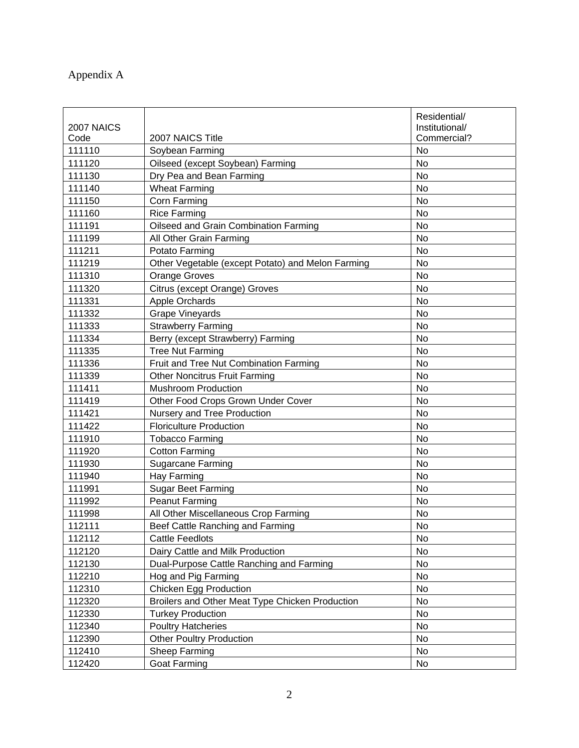## Appendix A

|            |                                                   | Residential/   |
|------------|---------------------------------------------------|----------------|
| 2007 NAICS |                                                   | Institutional/ |
| Code       | 2007 NAICS Title                                  | Commercial?    |
| 111110     | Soybean Farming                                   | <b>No</b>      |
| 111120     | Oilseed (except Soybean) Farming                  | <b>No</b>      |
| 111130     | Dry Pea and Bean Farming                          | No             |
| 111140     | <b>Wheat Farming</b>                              | <b>No</b>      |
| 111150     | Corn Farming                                      | No             |
| 111160     | <b>Rice Farming</b>                               | <b>No</b>      |
| 111191     | Oilseed and Grain Combination Farming             | <b>No</b>      |
| 111199     | All Other Grain Farming                           | <b>No</b>      |
| 111211     | Potato Farming                                    | No             |
| 111219     | Other Vegetable (except Potato) and Melon Farming | <b>No</b>      |
| 111310     | <b>Orange Groves</b>                              | <b>No</b>      |
| 111320     | Citrus (except Orange) Groves                     | No             |
| 111331     | Apple Orchards                                    | <b>No</b>      |
| 111332     | <b>Grape Vineyards</b>                            | No             |
| 111333     | <b>Strawberry Farming</b>                         | No             |
| 111334     | Berry (except Strawberry) Farming                 | No             |
| 111335     | <b>Tree Nut Farming</b>                           | <b>No</b>      |
| 111336     | Fruit and Tree Nut Combination Farming            | <b>No</b>      |
| 111339     | <b>Other Noncitrus Fruit Farming</b>              | <b>No</b>      |
| 111411     | <b>Mushroom Production</b>                        | <b>No</b>      |
| 111419     | Other Food Crops Grown Under Cover                | No             |
| 111421     | Nursery and Tree Production                       | No             |
| 111422     | <b>Floriculture Production</b>                    | <b>No</b>      |
| 111910     | <b>Tobacco Farming</b>                            | No             |
| 111920     | <b>Cotton Farming</b>                             | <b>No</b>      |
| 111930     | <b>Sugarcane Farming</b>                          | No             |
| 111940     | Hay Farming                                       | No             |
| 111991     | Sugar Beet Farming                                | No             |
| 111992     | <b>Peanut Farming</b>                             | No             |
| 111998     | All Other Miscellaneous Crop Farming              | No             |
| 112111     | Beef Cattle Ranching and Farming                  | No             |
| 112112     | <b>Cattle Feedlots</b>                            | No             |
| 112120     | Dairy Cattle and Milk Production                  | No             |
| 112130     | Dual-Purpose Cattle Ranching and Farming          | No             |
| 112210     | Hog and Pig Farming                               | No             |
| 112310     | <b>Chicken Egg Production</b>                     | No             |
| 112320     | Broilers and Other Meat Type Chicken Production   | No             |
| 112330     | <b>Turkey Production</b>                          | No             |
| 112340     | <b>Poultry Hatcheries</b>                         | No             |
| 112390     | <b>Other Poultry Production</b>                   | No             |
| 112410     | Sheep Farming                                     | No             |
| 112420     | <b>Goat Farming</b>                               | No             |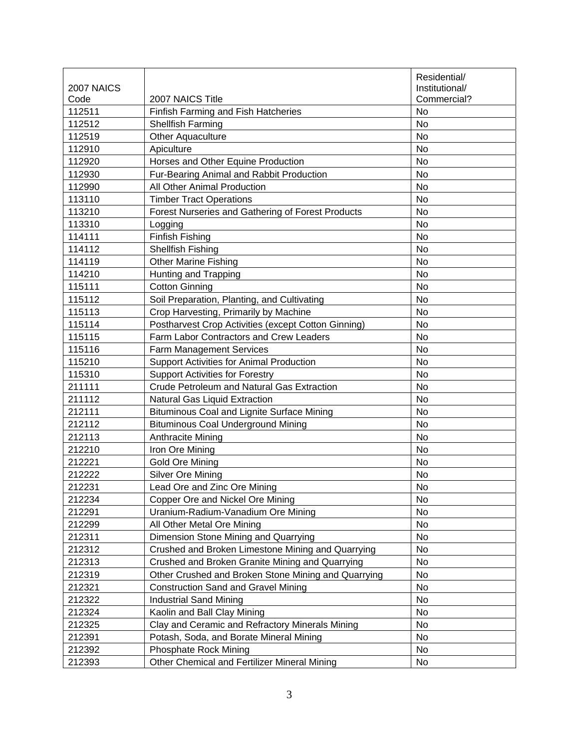|            |                                                     | Residential/   |
|------------|-----------------------------------------------------|----------------|
| 2007 NAICS |                                                     | Institutional/ |
| Code       | 2007 NAICS Title                                    | Commercial?    |
| 112511     | Finfish Farming and Fish Hatcheries                 | <b>No</b>      |
| 112512     | <b>Shellfish Farming</b>                            | <b>No</b>      |
| 112519     | Other Aquaculture                                   | <b>No</b>      |
| 112910     | Apiculture                                          | No             |
| 112920     | Horses and Other Equine Production                  | No             |
| 112930     | Fur-Bearing Animal and Rabbit Production            | No             |
| 112990     | All Other Animal Production                         | No             |
| 113110     | <b>Timber Tract Operations</b>                      | No             |
| 113210     | Forest Nurseries and Gathering of Forest Products   | No             |
| 113310     | Logging                                             | <b>No</b>      |
| 114111     | <b>Finfish Fishing</b>                              | No             |
| 114112     | <b>Shellfish Fishing</b>                            | <b>No</b>      |
| 114119     | <b>Other Marine Fishing</b>                         | No             |
| 114210     | Hunting and Trapping                                | <b>No</b>      |
| 115111     | <b>Cotton Ginning</b>                               | <b>No</b>      |
| 115112     | Soil Preparation, Planting, and Cultivating         | <b>No</b>      |
| 115113     | Crop Harvesting, Primarily by Machine               | No             |
| 115114     | Postharvest Crop Activities (except Cotton Ginning) | <b>No</b>      |
| 115115     | Farm Labor Contractors and Crew Leaders             | No             |
| 115116     | Farm Management Services                            | <b>No</b>      |
| 115210     | Support Activities for Animal Production            | <b>No</b>      |
| 115310     | <b>Support Activities for Forestry</b>              | <b>No</b>      |
| 211111     | <b>Crude Petroleum and Natural Gas Extraction</b>   | No             |
| 211112     | Natural Gas Liquid Extraction                       | No             |
| 212111     | <b>Bituminous Coal and Lignite Surface Mining</b>   | No             |
| 212112     | <b>Bituminous Coal Underground Mining</b>           | No             |
| 212113     | Anthracite Mining                                   | <b>No</b>      |
| 212210     | Iron Ore Mining                                     | <b>No</b>      |
| 212221     | Gold Ore Mining                                     | No             |
| 212222     | Silver Ore Mining                                   | No             |
| 212231     | Lead Ore and Zinc Ore Mining                        | <b>No</b>      |
| 212234     | Copper Ore and Nickel Ore Mining                    | No             |
| 212291     | Uranium-Radium-Vanadium Ore Mining                  | No             |
| 212299     | All Other Metal Ore Mining                          | No             |
| 212311     | Dimension Stone Mining and Quarrying                | No             |
| 212312     | Crushed and Broken Limestone Mining and Quarrying   | No             |
| 212313     | Crushed and Broken Granite Mining and Quarrying     | No             |
| 212319     | Other Crushed and Broken Stone Mining and Quarrying | No             |
| 212321     | <b>Construction Sand and Gravel Mining</b>          | No             |
| 212322     | <b>Industrial Sand Mining</b>                       | No             |
| 212324     | Kaolin and Ball Clay Mining                         | No             |
|            |                                                     | No             |
| 212325     | Clay and Ceramic and Refractory Minerals Mining     |                |
| 212391     | Potash, Soda, and Borate Mineral Mining             | No             |
| 212392     | <b>Phosphate Rock Mining</b>                        | No             |
| 212393     | Other Chemical and Fertilizer Mineral Mining        | No             |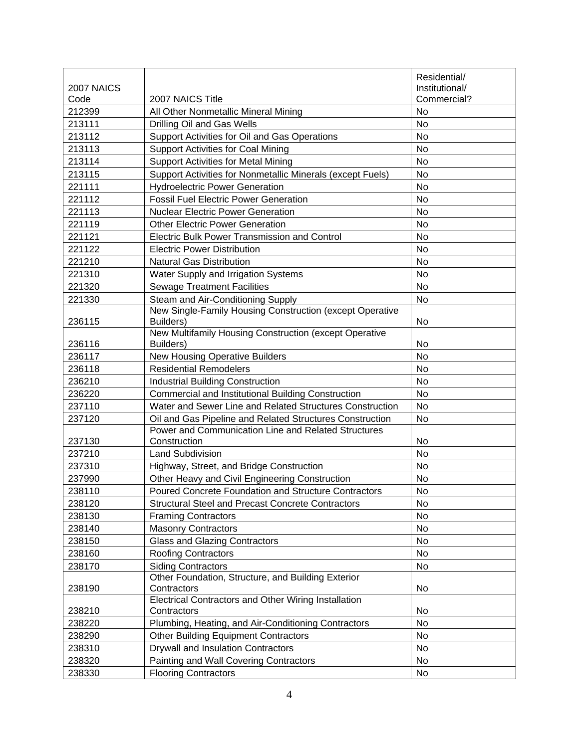|            |                                                                     | Residential/   |
|------------|---------------------------------------------------------------------|----------------|
| 2007 NAICS |                                                                     | Institutional/ |
| Code       | 2007 NAICS Title                                                    | Commercial?    |
| 212399     | All Other Nonmetallic Mineral Mining                                | No             |
| 213111     | Drilling Oil and Gas Wells                                          | No             |
| 213112     | Support Activities for Oil and Gas Operations                       | <b>No</b>      |
| 213113     | <b>Support Activities for Coal Mining</b>                           | No             |
| 213114     | <b>Support Activities for Metal Mining</b>                          | <b>No</b>      |
| 213115     | Support Activities for Nonmetallic Minerals (except Fuels)          | No             |
| 221111     | <b>Hydroelectric Power Generation</b>                               | No             |
| 221112     | <b>Fossil Fuel Electric Power Generation</b>                        | No             |
| 221113     | <b>Nuclear Electric Power Generation</b>                            | No             |
| 221119     | <b>Other Electric Power Generation</b>                              | No             |
| 221121     | <b>Electric Bulk Power Transmission and Control</b>                 | No             |
| 221122     | <b>Electric Power Distribution</b>                                  | No             |
| 221210     | <b>Natural Gas Distribution</b>                                     | No             |
| 221310     | Water Supply and Irrigation Systems                                 | No             |
| 221320     | <b>Sewage Treatment Facilities</b>                                  | No             |
| 221330     | Steam and Air-Conditioning Supply                                   | <b>No</b>      |
|            | New Single-Family Housing Construction (except Operative            |                |
| 236115     | Builders)                                                           | No             |
|            | New Multifamily Housing Construction (except Operative              |                |
| 236116     | Builders)                                                           | No             |
| 236117     | <b>New Housing Operative Builders</b>                               | <b>No</b>      |
| 236118     | <b>Residential Remodelers</b>                                       | No             |
| 236210     | <b>Industrial Building Construction</b>                             | No             |
| 236220     | Commercial and Institutional Building Construction                  | No             |
| 237110     | Water and Sewer Line and Related Structures Construction            | No             |
| 237120     | Oil and Gas Pipeline and Related Structures Construction            | <b>No</b>      |
|            | Power and Communication Line and Related Structures                 |                |
| 237130     | Construction                                                        | No             |
| 237210     | <b>Land Subdivision</b>                                             | <b>No</b>      |
| 237310     | Highway, Street, and Bridge Construction                            | No             |
| 237990     | Other Heavy and Civil Engineering Construction                      | No             |
| 238110     | Poured Concrete Foundation and Structure Contractors                | No             |
| 238120     | <b>Structural Steel and Precast Concrete Contractors</b>            | No             |
| 238130     | <b>Framing Contractors</b>                                          | No             |
| 238140     | <b>Masonry Contractors</b>                                          | No             |
| 238150     | <b>Glass and Glazing Contractors</b>                                | No             |
| 238160     | <b>Roofing Contractors</b>                                          | No             |
| 238170     | <b>Siding Contractors</b>                                           | No             |
|            | Other Foundation, Structure, and Building Exterior                  |                |
| 238190     | Contractors<br>Electrical Contractors and Other Wiring Installation | No             |
| 238210     | Contractors                                                         | No             |
| 238220     | Plumbing, Heating, and Air-Conditioning Contractors                 | No             |
| 238290     | <b>Other Building Equipment Contractors</b>                         | No             |
| 238310     | Drywall and Insulation Contractors                                  | No             |
| 238320     | Painting and Wall Covering Contractors                              | No             |
| 238330     | <b>Flooring Contractors</b>                                         | No             |
|            |                                                                     |                |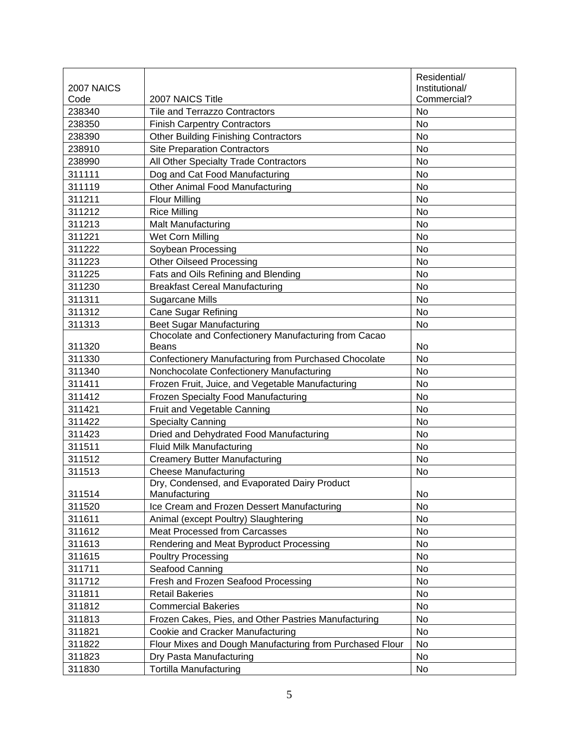|            |                                                          | Residential/   |
|------------|----------------------------------------------------------|----------------|
| 2007 NAICS |                                                          | Institutional/ |
| Code       | 2007 NAICS Title                                         | Commercial?    |
| 238340     | <b>Tile and Terrazzo Contractors</b>                     | No             |
| 238350     | <b>Finish Carpentry Contractors</b>                      | No             |
| 238390     | <b>Other Building Finishing Contractors</b>              | <b>No</b>      |
| 238910     | <b>Site Preparation Contractors</b>                      | <b>No</b>      |
| 238990     | All Other Specialty Trade Contractors                    | No             |
| 311111     | Dog and Cat Food Manufacturing                           | No             |
| 311119     | Other Animal Food Manufacturing                          | No             |
| 311211     | <b>Flour Milling</b>                                     | No             |
| 311212     | <b>Rice Milling</b>                                      | No             |
| 311213     | Malt Manufacturing                                       | <b>No</b>      |
| 311221     | Wet Corn Milling                                         | No             |
| 311222     | Soybean Processing                                       | No             |
| 311223     | <b>Other Oilseed Processing</b>                          | No             |
| 311225     | Fats and Oils Refining and Blending                      | No             |
| 311230     | <b>Breakfast Cereal Manufacturing</b>                    | <b>No</b>      |
| 311311     | Sugarcane Mills                                          | No             |
| 311312     | <b>Cane Sugar Refining</b>                               | No             |
| 311313     | <b>Beet Sugar Manufacturing</b>                          | No             |
|            | Chocolate and Confectionery Manufacturing from Cacao     |                |
| 311320     | <b>Beans</b>                                             | No             |
| 311330     | Confectionery Manufacturing from Purchased Chocolate     | No             |
| 311340     | Nonchocolate Confectionery Manufacturing                 | <b>No</b>      |
| 311411     | Frozen Fruit, Juice, and Vegetable Manufacturing         | No             |
| 311412     | Frozen Specialty Food Manufacturing                      | No             |
| 311421     | Fruit and Vegetable Canning                              | No             |
| 311422     | <b>Specialty Canning</b>                                 | No             |
| 311423     | Dried and Dehydrated Food Manufacturing                  | <b>No</b>      |
| 311511     | <b>Fluid Milk Manufacturing</b>                          | <b>No</b>      |
| 311512     | <b>Creamery Butter Manufacturing</b>                     | No             |
| 311513     | <b>Cheese Manufacturing</b>                              | No             |
|            | Dry, Condensed, and Evaporated Dairy Product             |                |
| 311514     | Manufacturing                                            | No             |
| 311520     | Ice Cream and Frozen Dessert Manufacturing               | No             |
| 311611     | Animal (except Poultry) Slaughtering                     | No             |
| 311612     | Meat Processed from Carcasses                            | No             |
| 311613     | Rendering and Meat Byproduct Processing                  | No             |
| 311615     | <b>Poultry Processing</b>                                | No             |
| 311711     | Seafood Canning                                          | No             |
| 311712     | Fresh and Frozen Seafood Processing                      | No             |
| 311811     | <b>Retail Bakeries</b>                                   | No             |
| 311812     | <b>Commercial Bakeries</b>                               | No             |
| 311813     | Frozen Cakes, Pies, and Other Pastries Manufacturing     | No             |
| 311821     | Cookie and Cracker Manufacturing                         | No             |
| 311822     | Flour Mixes and Dough Manufacturing from Purchased Flour | No             |
| 311823     | Dry Pasta Manufacturing                                  | No             |
| 311830     | <b>Tortilla Manufacturing</b>                            | No             |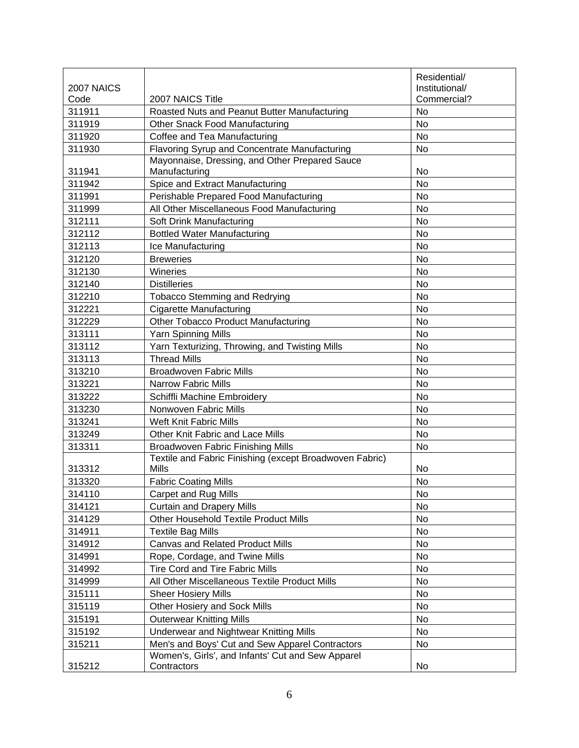|            |                                                                  | Residential/   |
|------------|------------------------------------------------------------------|----------------|
| 2007 NAICS |                                                                  | Institutional/ |
| Code       | 2007 NAICS Title                                                 | Commercial?    |
| 311911     | Roasted Nuts and Peanut Butter Manufacturing                     | <b>No</b>      |
| 311919     | <b>Other Snack Food Manufacturing</b>                            | No             |
| 311920     | Coffee and Tea Manufacturing                                     | <b>No</b>      |
| 311930     | Flavoring Syrup and Concentrate Manufacturing                    | <b>No</b>      |
|            | Mayonnaise, Dressing, and Other Prepared Sauce                   |                |
| 311941     | Manufacturing                                                    | No             |
| 311942     | Spice and Extract Manufacturing                                  | <b>No</b>      |
| 311991     | Perishable Prepared Food Manufacturing                           | <b>No</b>      |
| 311999     | All Other Miscellaneous Food Manufacturing                       | <b>No</b>      |
| 312111     | Soft Drink Manufacturing                                         | No             |
| 312112     | <b>Bottled Water Manufacturing</b>                               | No             |
| 312113     | Ice Manufacturing                                                | <b>No</b>      |
| 312120     | <b>Breweries</b>                                                 | <b>No</b>      |
| 312130     | Wineries                                                         | No             |
| 312140     | <b>Distilleries</b>                                              | <b>No</b>      |
| 312210     | <b>Tobacco Stemming and Redrying</b>                             | <b>No</b>      |
| 312221     | <b>Cigarette Manufacturing</b>                                   | <b>No</b>      |
| 312229     | Other Tobacco Product Manufacturing                              | <b>No</b>      |
| 313111     | <b>Yarn Spinning Mills</b>                                       | <b>No</b>      |
| 313112     | Yarn Texturizing, Throwing, and Twisting Mills                   | No             |
| 313113     | <b>Thread Mills</b>                                              | <b>No</b>      |
| 313210     | <b>Broadwoven Fabric Mills</b>                                   | <b>No</b>      |
| 313221     | <b>Narrow Fabric Mills</b>                                       | <b>No</b>      |
| 313222     | Schiffli Machine Embroidery                                      | <b>No</b>      |
| 313230     | Nonwoven Fabric Mills                                            | <b>No</b>      |
| 313241     | <b>Weft Knit Fabric Mills</b>                                    | No             |
| 313249     | Other Knit Fabric and Lace Mills                                 | <b>No</b>      |
| 313311     | <b>Broadwoven Fabric Finishing Mills</b>                         | <b>No</b>      |
|            | Textile and Fabric Finishing (except Broadwoven Fabric)          |                |
| 313312     | <b>Mills</b>                                                     | No             |
| 313320     | <b>Fabric Coating Mills</b>                                      | No             |
| 314110     | Carpet and Rug Mills                                             | No.            |
| 314121     | <b>Curtain and Drapery Mills</b>                                 | No             |
| 314129     | <b>Other Household Textile Product Mills</b>                     | No             |
| 314911     | <b>Textile Bag Mills</b>                                         | No             |
| 314912     | <b>Canvas and Related Product Mills</b>                          | No             |
| 314991     | Rope, Cordage, and Twine Mills                                   | No             |
| 314992     | <b>Tire Cord and Tire Fabric Mills</b>                           | No             |
| 314999     | All Other Miscellaneous Textile Product Mills                    | No             |
| 315111     | <b>Sheer Hosiery Mills</b>                                       | No             |
| 315119     | Other Hosiery and Sock Mills                                     | No             |
| 315191     | <b>Outerwear Knitting Mills</b>                                  | No             |
| 315192     | Underwear and Nightwear Knitting Mills                           | No             |
| 315211     | Men's and Boys' Cut and Sew Apparel Contractors                  | No             |
| 315212     | Women's, Girls', and Infants' Cut and Sew Apparel<br>Contractors | No             |
|            |                                                                  |                |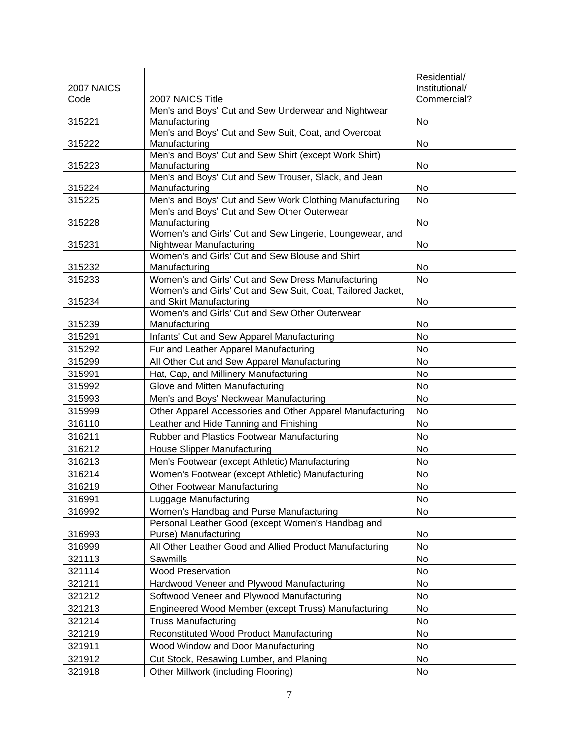|            |                                                                                              | Residential/    |
|------------|----------------------------------------------------------------------------------------------|-----------------|
| 2007 NAICS |                                                                                              | Institutional/  |
| Code       | 2007 NAICS Title                                                                             | Commercial?     |
| 315221     | Men's and Boys' Cut and Sew Underwear and Nightwear<br>Manufacturing                         | No              |
|            | Men's and Boys' Cut and Sew Suit, Coat, and Overcoat                                         |                 |
| 315222     | Manufacturing                                                                                | No              |
|            | Men's and Boys' Cut and Sew Shirt (except Work Shirt)                                        |                 |
| 315223     | Manufacturing                                                                                | No              |
|            | Men's and Boys' Cut and Sew Trouser, Slack, and Jean                                         |                 |
| 315224     | Manufacturing                                                                                | No              |
| 315225     | Men's and Boys' Cut and Sew Work Clothing Manufacturing                                      | No              |
|            | Men's and Boys' Cut and Sew Other Outerwear<br>Manufacturing                                 | No              |
| 315228     | Women's and Girls' Cut and Sew Lingerie, Loungewear, and                                     |                 |
| 315231     | Nightwear Manufacturing                                                                      | No              |
|            | Women's and Girls' Cut and Sew Blouse and Shirt                                              |                 |
| 315232     | Manufacturing                                                                                | No              |
| 315233     | Women's and Girls' Cut and Sew Dress Manufacturing                                           | No              |
|            | Women's and Girls' Cut and Sew Suit, Coat, Tailored Jacket,                                  |                 |
| 315234     | and Skirt Manufacturing                                                                      | No              |
|            | Women's and Girls' Cut and Sew Other Outerwear                                               |                 |
| 315239     | Manufacturing                                                                                | No              |
| 315291     | Infants' Cut and Sew Apparel Manufacturing                                                   | No              |
| 315292     | Fur and Leather Apparel Manufacturing                                                        | <b>No</b>       |
| 315299     | All Other Cut and Sew Apparel Manufacturing                                                  | No              |
| 315991     | Hat, Cap, and Millinery Manufacturing                                                        | No              |
| 315992     | Glove and Mitten Manufacturing                                                               | No              |
| 315993     | Men's and Boys' Neckwear Manufacturing                                                       | No<br><b>No</b> |
| 315999     | Other Apparel Accessories and Other Apparel Manufacturing                                    | <b>No</b>       |
| 316110     | Leather and Hide Tanning and Finishing                                                       | No              |
| 316211     | Rubber and Plastics Footwear Manufacturing                                                   | No              |
| 316212     | <b>House Slipper Manufacturing</b>                                                           |                 |
| 316213     | Men's Footwear (except Athletic) Manufacturing                                               | No              |
| 316214     | Women's Footwear (except Athletic) Manufacturing                                             | No<br><b>No</b> |
| 316219     | <b>Other Footwear Manufacturing</b>                                                          |                 |
| 316991     | Luggage Manufacturing                                                                        | No              |
| 316992     | Women's Handbag and Purse Manufacturing<br>Personal Leather Good (except Women's Handbag and | No              |
| 316993     | Purse) Manufacturing                                                                         | No              |
| 316999     | All Other Leather Good and Allied Product Manufacturing                                      | No              |
| 321113     | Sawmills                                                                                     | No              |
| 321114     | <b>Wood Preservation</b>                                                                     | No              |
| 321211     | Hardwood Veneer and Plywood Manufacturing                                                    | No              |
| 321212     | Softwood Veneer and Plywood Manufacturing                                                    | No              |
| 321213     | Engineered Wood Member (except Truss) Manufacturing                                          | No              |
| 321214     | <b>Truss Manufacturing</b>                                                                   | No              |
| 321219     | Reconstituted Wood Product Manufacturing                                                     | No              |
| 321911     | Wood Window and Door Manufacturing                                                           | No              |
| 321912     | Cut Stock, Resawing Lumber, and Planing                                                      | No              |
| 321918     | Other Millwork (including Flooring)                                                          | No              |
|            |                                                                                              |                 |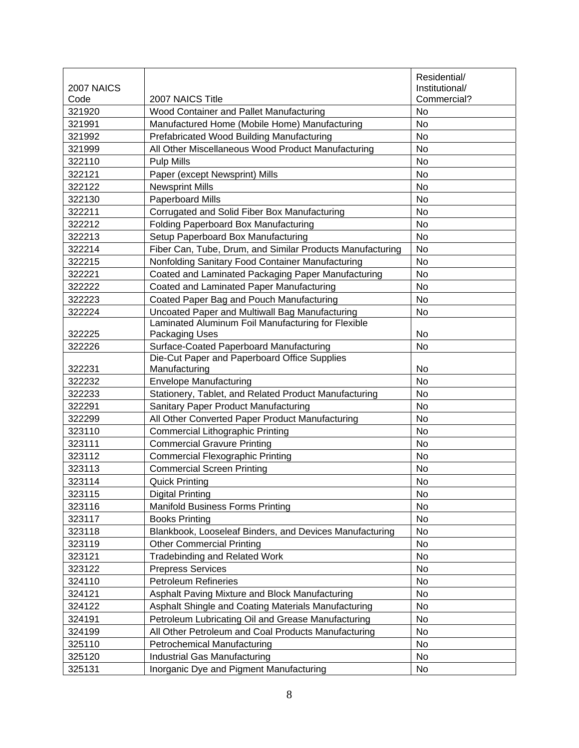|            |                                                           | Residential/   |
|------------|-----------------------------------------------------------|----------------|
| 2007 NAICS |                                                           | Institutional/ |
| Code       | 2007 NAICS Title                                          | Commercial?    |
| 321920     | Wood Container and Pallet Manufacturing                   | No             |
| 321991     | Manufactured Home (Mobile Home) Manufacturing             | <b>No</b>      |
| 321992     | Prefabricated Wood Building Manufacturing                 | No             |
| 321999     | All Other Miscellaneous Wood Product Manufacturing        | No             |
| 322110     | <b>Pulp Mills</b>                                         | No             |
| 322121     | Paper (except Newsprint) Mills                            | No             |
| 322122     | <b>Newsprint Mills</b>                                    | No             |
| 322130     | <b>Paperboard Mills</b>                                   | No             |
| 322211     | Corrugated and Solid Fiber Box Manufacturing              | No             |
| 322212     | Folding Paperboard Box Manufacturing                      | No             |
| 322213     | Setup Paperboard Box Manufacturing                        | No             |
| 322214     | Fiber Can, Tube, Drum, and Similar Products Manufacturing | No             |
| 322215     | Nonfolding Sanitary Food Container Manufacturing          | No             |
| 322221     | Coated and Laminated Packaging Paper Manufacturing        | <b>No</b>      |
| 322222     | Coated and Laminated Paper Manufacturing                  | <b>No</b>      |
| 322223     | Coated Paper Bag and Pouch Manufacturing                  | No             |
| 322224     | Uncoated Paper and Multiwall Bag Manufacturing            | No             |
|            | Laminated Aluminum Foil Manufacturing for Flexible        |                |
| 322225     | Packaging Uses                                            | No             |
| 322226     | Surface-Coated Paperboard Manufacturing                   | No             |
|            | Die-Cut Paper and Paperboard Office Supplies              |                |
| 322231     | Manufacturing                                             | No             |
| 322232     | <b>Envelope Manufacturing</b>                             | No             |
| 322233     | Stationery, Tablet, and Related Product Manufacturing     | No             |
| 322291     | Sanitary Paper Product Manufacturing                      | No             |
| 322299     | All Other Converted Paper Product Manufacturing           | No             |
| 323110     | <b>Commercial Lithographic Printing</b>                   | No             |
| 323111     | <b>Commercial Gravure Printing</b>                        | No             |
| 323112     | <b>Commercial Flexographic Printing</b>                   | No             |
| 323113     | <b>Commercial Screen Printing</b>                         | No             |
| 323114     | <b>Quick Printing</b>                                     | No             |
| 323115     | <b>Digital Printing</b>                                   | No.            |
| 323116     | <b>Manifold Business Forms Printing</b>                   | No             |
| 323117     | <b>Books Printing</b>                                     | No             |
| 323118     | Blankbook, Looseleaf Binders, and Devices Manufacturing   | No             |
| 323119     | <b>Other Commercial Printing</b>                          | No             |
| 323121     | <b>Tradebinding and Related Work</b>                      | No             |
| 323122     | <b>Prepress Services</b>                                  | No             |
| 324110     | <b>Petroleum Refineries</b>                               | No             |
| 324121     | Asphalt Paving Mixture and Block Manufacturing            | No             |
| 324122     | Asphalt Shingle and Coating Materials Manufacturing       | No             |
| 324191     | Petroleum Lubricating Oil and Grease Manufacturing        | No             |
| 324199     | All Other Petroleum and Coal Products Manufacturing       | No             |
| 325110     | <b>Petrochemical Manufacturing</b>                        | No             |
| 325120     | Industrial Gas Manufacturing                              | No             |
| 325131     | Inorganic Dye and Pigment Manufacturing                   | No             |
|            |                                                           |                |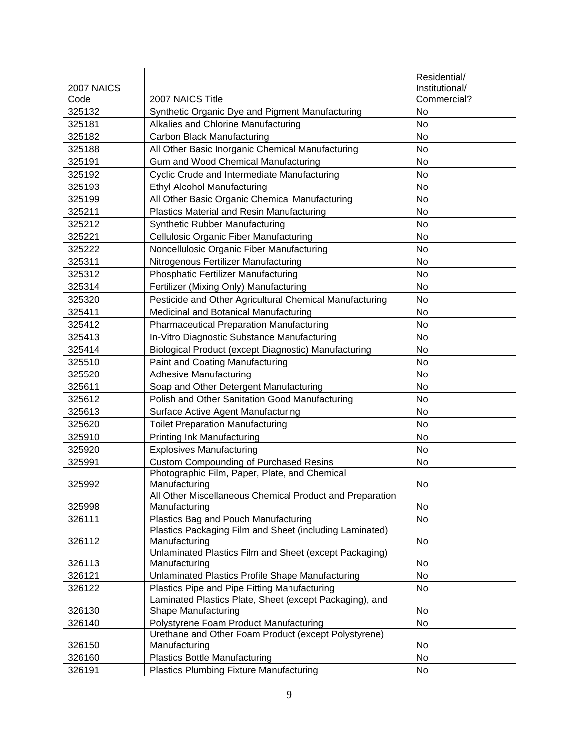|            |                                                                                                | Residential/   |
|------------|------------------------------------------------------------------------------------------------|----------------|
| 2007 NAICS |                                                                                                | Institutional/ |
| Code       | 2007 NAICS Title                                                                               | Commercial?    |
| 325132     | Synthetic Organic Dye and Pigment Manufacturing                                                | No             |
| 325181     | <b>Alkalies and Chlorine Manufacturing</b>                                                     | No             |
| 325182     | Carbon Black Manufacturing                                                                     | No             |
| 325188     | All Other Basic Inorganic Chemical Manufacturing                                               | No             |
| 325191     | Gum and Wood Chemical Manufacturing                                                            | <b>No</b>      |
| 325192     | <b>Cyclic Crude and Intermediate Manufacturing</b>                                             | No             |
| 325193     | <b>Ethyl Alcohol Manufacturing</b>                                                             | No             |
| 325199     | All Other Basic Organic Chemical Manufacturing                                                 | No             |
| 325211     | Plastics Material and Resin Manufacturing                                                      | No             |
| 325212     | Synthetic Rubber Manufacturing                                                                 | <b>No</b>      |
| 325221     | Cellulosic Organic Fiber Manufacturing                                                         | No             |
| 325222     | Noncellulosic Organic Fiber Manufacturing                                                      | No             |
| 325311     | Nitrogenous Fertilizer Manufacturing                                                           | No             |
| 325312     | Phosphatic Fertilizer Manufacturing                                                            | No             |
| 325314     | Fertilizer (Mixing Only) Manufacturing                                                         | <b>No</b>      |
| 325320     | Pesticide and Other Agricultural Chemical Manufacturing                                        | No             |
| 325411     | Medicinal and Botanical Manufacturing                                                          | <b>No</b>      |
| 325412     | <b>Pharmaceutical Preparation Manufacturing</b>                                                | No             |
| 325413     | In-Vitro Diagnostic Substance Manufacturing                                                    | No             |
| 325414     | Biological Product (except Diagnostic) Manufacturing                                           | No             |
| 325510     | Paint and Coating Manufacturing                                                                | No             |
| 325520     | <b>Adhesive Manufacturing</b>                                                                  | No             |
| 325611     | Soap and Other Detergent Manufacturing                                                         | No             |
| 325612     | Polish and Other Sanitation Good Manufacturing                                                 | No             |
| 325613     | <b>Surface Active Agent Manufacturing</b>                                                      | No             |
| 325620     | <b>Toilet Preparation Manufacturing</b>                                                        | No             |
| 325910     | Printing Ink Manufacturing                                                                     | No             |
| 325920     | <b>Explosives Manufacturing</b>                                                                | No             |
| 325991     | <b>Custom Compounding of Purchased Resins</b>                                                  | No             |
|            | Photographic Film, Paper, Plate, and Chemical                                                  |                |
| 325992     | Manufacturing                                                                                  | No             |
|            | All Other Miscellaneous Chemical Product and Preparation                                       |                |
| 325998     | Manufacturing                                                                                  | No             |
| 326111     | Plastics Bag and Pouch Manufacturing                                                           | <b>No</b>      |
|            | Plastics Packaging Film and Sheet (including Laminated)                                        |                |
| 326112     | Manufacturing                                                                                  | No             |
|            | Unlaminated Plastics Film and Sheet (except Packaging)                                         |                |
| 326113     | Manufacturing                                                                                  | No             |
| 326121     | Unlaminated Plastics Profile Shape Manufacturing                                               | <b>No</b>      |
| 326122     | Plastics Pipe and Pipe Fitting Manufacturing                                                   | No             |
|            | Laminated Plastics Plate, Sheet (except Packaging), and                                        |                |
| 326130     | Shape Manufacturing                                                                            | No             |
| 326140     | Polystyrene Foam Product Manufacturing<br>Urethane and Other Foam Product (except Polystyrene) | No             |
| 326150     | Manufacturing                                                                                  | No             |
| 326160     | <b>Plastics Bottle Manufacturing</b>                                                           | No             |
| 326191     | <b>Plastics Plumbing Fixture Manufacturing</b>                                                 | No             |
|            |                                                                                                |                |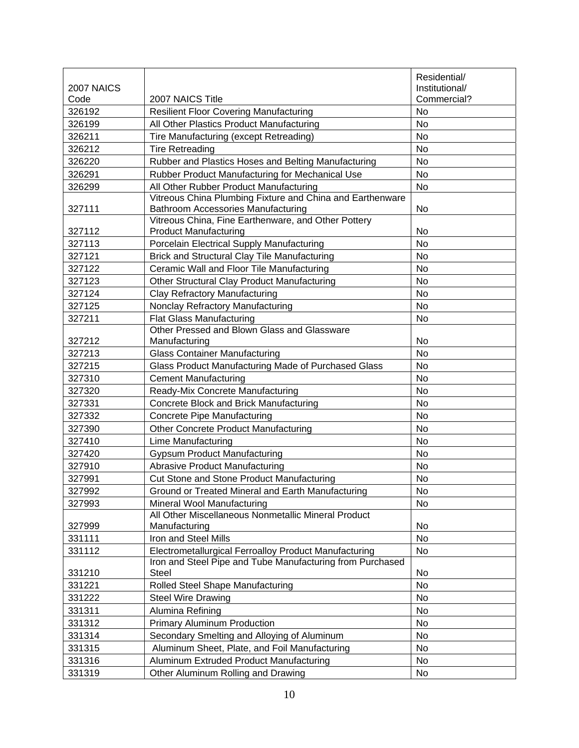|            |                                                                                                 | Residential/   |
|------------|-------------------------------------------------------------------------------------------------|----------------|
| 2007 NAICS |                                                                                                 | Institutional/ |
| Code       | 2007 NAICS Title                                                                                | Commercial?    |
| 326192     | <b>Resilient Floor Covering Manufacturing</b>                                                   | No             |
| 326199     | All Other Plastics Product Manufacturing                                                        | <b>No</b>      |
| 326211     | Tire Manufacturing (except Retreading)                                                          | No             |
| 326212     | <b>Tire Retreading</b>                                                                          | No             |
| 326220     | Rubber and Plastics Hoses and Belting Manufacturing                                             | No             |
| 326291     | Rubber Product Manufacturing for Mechanical Use                                                 | No             |
| 326299     | All Other Rubber Product Manufacturing                                                          | No             |
| 327111     | Vitreous China Plumbing Fixture and China and Earthenware<br>Bathroom Accessories Manufacturing | No             |
|            | Vitreous China, Fine Earthenware, and Other Pottery                                             |                |
| 327112     | <b>Product Manufacturing</b>                                                                    | No             |
| 327113     | Porcelain Electrical Supply Manufacturing                                                       | No             |
| 327121     | <b>Brick and Structural Clay Tile Manufacturing</b>                                             | No             |
| 327122     | Ceramic Wall and Floor Tile Manufacturing                                                       | No             |
| 327123     | Other Structural Clay Product Manufacturing                                                     | No             |
| 327124     | <b>Clay Refractory Manufacturing</b>                                                            | No             |
| 327125     | Nonclay Refractory Manufacturing                                                                | No             |
| 327211     | <b>Flat Glass Manufacturing</b>                                                                 | No             |
|            | Other Pressed and Blown Glass and Glassware                                                     |                |
| 327212     | Manufacturing                                                                                   | No             |
| 327213     | <b>Glass Container Manufacturing</b>                                                            | No             |
| 327215     | Glass Product Manufacturing Made of Purchased Glass                                             | <b>No</b>      |
| 327310     | <b>Cement Manufacturing</b>                                                                     | No             |
| 327320     | Ready-Mix Concrete Manufacturing                                                                | <b>No</b>      |
| 327331     | Concrete Block and Brick Manufacturing                                                          | No             |
| 327332     | <b>Concrete Pipe Manufacturing</b>                                                              | No             |
| 327390     | <b>Other Concrete Product Manufacturing</b>                                                     | <b>No</b>      |
| 327410     | <b>Lime Manufacturing</b>                                                                       | No             |
| 327420     | <b>Gypsum Product Manufacturing</b>                                                             | No             |
| 327910     | <b>Abrasive Product Manufacturing</b>                                                           | No             |
| 327991     | Cut Stone and Stone Product Manufacturing                                                       | No             |
| 327992     | Ground or Treated Mineral and Earth Manufacturing                                               | No             |
| 327993     | Mineral Wool Manufacturing                                                                      | No             |
| 327999     | All Other Miscellaneous Nonmetallic Mineral Product<br>Manufacturing                            | No             |
| 331111     | Iron and Steel Mills                                                                            | <b>No</b>      |
| 331112     | Electrometallurgical Ferroalloy Product Manufacturing                                           | No             |
|            | Iron and Steel Pipe and Tube Manufacturing from Purchased                                       |                |
| 331210     | Steel                                                                                           | No             |
| 331221     | Rolled Steel Shape Manufacturing                                                                | No             |
| 331222     | <b>Steel Wire Drawing</b>                                                                       | No             |
| 331311     | Alumina Refining                                                                                | No             |
| 331312     | <b>Primary Aluminum Production</b>                                                              | No             |
| 331314     | Secondary Smelting and Alloying of Aluminum                                                     | No             |
| 331315     | Aluminum Sheet, Plate, and Foil Manufacturing                                                   | No             |
| 331316     | Aluminum Extruded Product Manufacturing                                                         | No             |
| 331319     | Other Aluminum Rolling and Drawing                                                              | No             |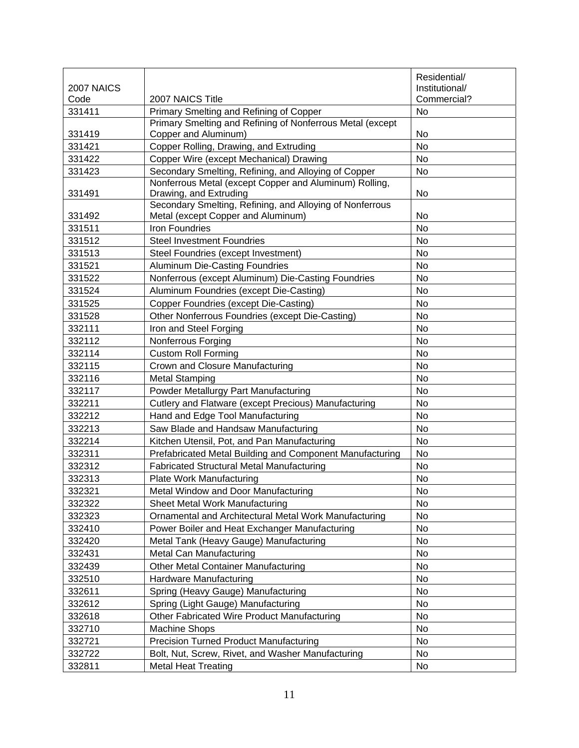| 2007 NAICS |                                                                                                | Residential/<br>Institutional/ |
|------------|------------------------------------------------------------------------------------------------|--------------------------------|
| Code       | 2007 NAICS Title                                                                               | Commercial?                    |
| 331411     | Primary Smelting and Refining of Copper                                                        | <b>No</b>                      |
| 331419     | Primary Smelting and Refining of Nonferrous Metal (except<br>Copper and Aluminum)              | No                             |
| 331421     | Copper Rolling, Drawing, and Extruding                                                         | No                             |
| 331422     | Copper Wire (except Mechanical) Drawing                                                        | <b>No</b>                      |
| 331423     | Secondary Smelting, Refining, and Alloying of Copper                                           | No                             |
| 331491     | Nonferrous Metal (except Copper and Aluminum) Rolling,<br>Drawing, and Extruding               | No                             |
| 331492     | Secondary Smelting, Refining, and Alloying of Nonferrous<br>Metal (except Copper and Aluminum) | No                             |
| 331511     | <b>Iron Foundries</b>                                                                          | No                             |
| 331512     | <b>Steel Investment Foundries</b>                                                              | No                             |
| 331513     | Steel Foundries (except Investment)                                                            | <b>No</b>                      |
| 331521     | Aluminum Die-Casting Foundries                                                                 | No                             |
| 331522     | Nonferrous (except Aluminum) Die-Casting Foundries                                             | No                             |
| 331524     | Aluminum Foundries (except Die-Casting)                                                        | No                             |
| 331525     | Copper Foundries (except Die-Casting)                                                          | No                             |
| 331528     | Other Nonferrous Foundries (except Die-Casting)                                                | No                             |
| 332111     | Iron and Steel Forging                                                                         | No                             |
| 332112     | Nonferrous Forging                                                                             | No                             |
| 332114     | <b>Custom Roll Forming</b>                                                                     | No                             |
| 332115     | Crown and Closure Manufacturing                                                                | No                             |
| 332116     | <b>Metal Stamping</b>                                                                          | No                             |
| 332117     | Powder Metallurgy Part Manufacturing                                                           | <b>No</b>                      |
| 332211     | Cutlery and Flatware (except Precious) Manufacturing                                           | No                             |
| 332212     | Hand and Edge Tool Manufacturing                                                               | No                             |
| 332213     | Saw Blade and Handsaw Manufacturing                                                            | No                             |
| 332214     | Kitchen Utensil, Pot, and Pan Manufacturing                                                    | No                             |
| 332311     | Prefabricated Metal Building and Component Manufacturing                                       | No                             |
| 332312     | <b>Fabricated Structural Metal Manufacturing</b>                                               | No                             |
| 332313     | <b>Plate Work Manufacturing</b>                                                                | No                             |
| 332321     | Metal Window and Door Manufacturing                                                            | No                             |
| 332322     | <b>Sheet Metal Work Manufacturing</b>                                                          | No                             |
| 332323     | Ornamental and Architectural Metal Work Manufacturing                                          | No                             |
| 332410     | Power Boiler and Heat Exchanger Manufacturing                                                  | No                             |
| 332420     | Metal Tank (Heavy Gauge) Manufacturing                                                         | No                             |
| 332431     | Metal Can Manufacturing                                                                        | No                             |
| 332439     | <b>Other Metal Container Manufacturing</b>                                                     | No                             |
| 332510     | Hardware Manufacturing                                                                         | No                             |
| 332611     | Spring (Heavy Gauge) Manufacturing                                                             | No                             |
| 332612     | Spring (Light Gauge) Manufacturing                                                             | No                             |
| 332618     | Other Fabricated Wire Product Manufacturing                                                    | No                             |
| 332710     | <b>Machine Shops</b>                                                                           | No                             |
| 332721     | <b>Precision Turned Product Manufacturing</b>                                                  | No                             |
| 332722     | Bolt, Nut, Screw, Rivet, and Washer Manufacturing                                              | No                             |
| 332811     | <b>Metal Heat Treating</b>                                                                     | No                             |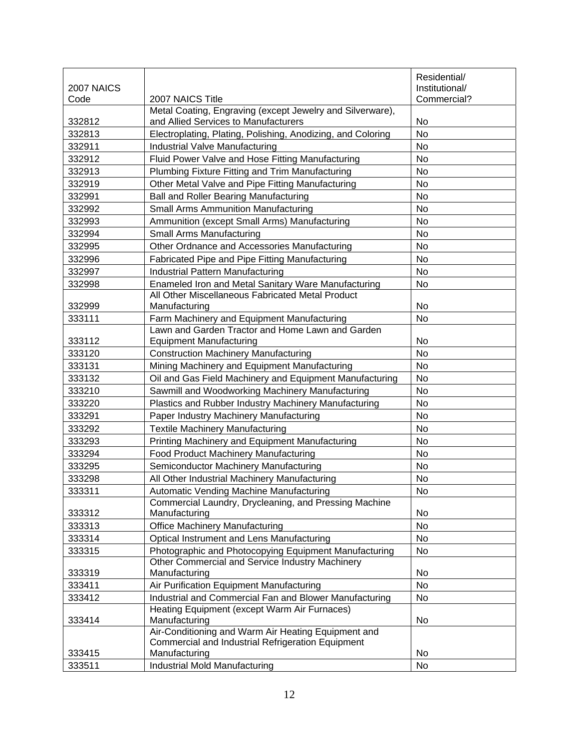|                    |                                                                                                        | Residential/                  |
|--------------------|--------------------------------------------------------------------------------------------------------|-------------------------------|
| 2007 NAICS<br>Code | 2007 NAICS Title                                                                                       | Institutional/<br>Commercial? |
|                    | Metal Coating, Engraving (except Jewelry and Silverware),                                              |                               |
| 332812             | and Allied Services to Manufacturers                                                                   | No                            |
| 332813             | Electroplating, Plating, Polishing, Anodizing, and Coloring                                            | <b>No</b>                     |
| 332911             | Industrial Valve Manufacturing                                                                         | No                            |
| 332912             | Fluid Power Valve and Hose Fitting Manufacturing                                                       | No                            |
| 332913             | Plumbing Fixture Fitting and Trim Manufacturing                                                        | No                            |
| 332919             | Other Metal Valve and Pipe Fitting Manufacturing                                                       | No                            |
| 332991             | Ball and Roller Bearing Manufacturing                                                                  | No                            |
| 332992             | <b>Small Arms Ammunition Manufacturing</b>                                                             | No                            |
| 332993             | Ammunition (except Small Arms) Manufacturing                                                           | No                            |
| 332994             | Small Arms Manufacturing                                                                               | No                            |
| 332995             | Other Ordnance and Accessories Manufacturing                                                           | No                            |
| 332996             | Fabricated Pipe and Pipe Fitting Manufacturing                                                         | No                            |
| 332997             | Industrial Pattern Manufacturing                                                                       | No                            |
| 332998             | Enameled Iron and Metal Sanitary Ware Manufacturing                                                    | No                            |
|                    | All Other Miscellaneous Fabricated Metal Product                                                       |                               |
| 332999             | Manufacturing                                                                                          | No                            |
| 333111             | Farm Machinery and Equipment Manufacturing                                                             | No                            |
|                    | Lawn and Garden Tractor and Home Lawn and Garden                                                       |                               |
| 333112             | <b>Equipment Manufacturing</b>                                                                         | No                            |
| 333120             | <b>Construction Machinery Manufacturing</b>                                                            | No                            |
| 333131             | Mining Machinery and Equipment Manufacturing                                                           | <b>No</b>                     |
| 333132             | Oil and Gas Field Machinery and Equipment Manufacturing                                                | No                            |
| 333210             | Sawmill and Woodworking Machinery Manufacturing                                                        | No                            |
| 333220             | Plastics and Rubber Industry Machinery Manufacturing                                                   | No                            |
| 333291             | Paper Industry Machinery Manufacturing                                                                 | No                            |
| 333292             | <b>Textile Machinery Manufacturing</b>                                                                 | No                            |
| 333293             | Printing Machinery and Equipment Manufacturing                                                         | No                            |
| 333294             | Food Product Machinery Manufacturing                                                                   | No                            |
| 333295             | Semiconductor Machinery Manufacturing                                                                  | No                            |
| 333298             | All Other Industrial Machinery Manufacturing                                                           | No                            |
| 333311             | Automatic Vending Machine Manufacturing                                                                | No                            |
|                    | Commercial Laundry, Drycleaning, and Pressing Machine                                                  |                               |
| 333312             | Manufacturing                                                                                          | No                            |
| 333313             | <b>Office Machinery Manufacturing</b>                                                                  | <b>No</b>                     |
| 333314             | Optical Instrument and Lens Manufacturing                                                              | No                            |
| 333315             | Photographic and Photocopying Equipment Manufacturing                                                  | No                            |
|                    | Other Commercial and Service Industry Machinery                                                        |                               |
| 333319             | Manufacturing                                                                                          | No                            |
| 333411             | Air Purification Equipment Manufacturing                                                               | No                            |
| 333412             | Industrial and Commercial Fan and Blower Manufacturing<br>Heating Equipment (except Warm Air Furnaces) | <b>No</b>                     |
| 333414             | Manufacturing                                                                                          | No                            |
|                    | Air-Conditioning and Warm Air Heating Equipment and                                                    |                               |
| 333415             | Commercial and Industrial Refrigeration Equipment<br>Manufacturing                                     | No.                           |
| 333511             | Industrial Mold Manufacturing                                                                          | No                            |
|                    |                                                                                                        |                               |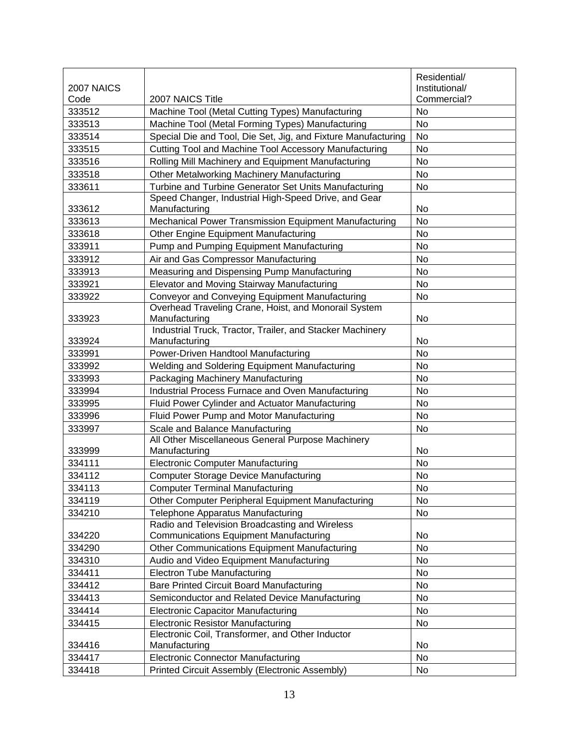|            |                                                                                                 | Residential/   |
|------------|-------------------------------------------------------------------------------------------------|----------------|
| 2007 NAICS |                                                                                                 | Institutional/ |
| Code       | 2007 NAICS Title                                                                                | Commercial?    |
| 333512     | Machine Tool (Metal Cutting Types) Manufacturing                                                | No             |
| 333513     | Machine Tool (Metal Forming Types) Manufacturing                                                | No             |
| 333514     | Special Die and Tool, Die Set, Jig, and Fixture Manufacturing                                   | No             |
| 333515     | Cutting Tool and Machine Tool Accessory Manufacturing                                           | No             |
| 333516     | Rolling Mill Machinery and Equipment Manufacturing                                              | No             |
| 333518     | <b>Other Metalworking Machinery Manufacturing</b>                                               | No             |
| 333611     | Turbine and Turbine Generator Set Units Manufacturing                                           | No             |
|            | Speed Changer, Industrial High-Speed Drive, and Gear                                            |                |
| 333612     | Manufacturing                                                                                   | <b>No</b>      |
| 333613     | Mechanical Power Transmission Equipment Manufacturing                                           | <b>No</b>      |
| 333618     | Other Engine Equipment Manufacturing                                                            | No             |
| 333911     | Pump and Pumping Equipment Manufacturing                                                        | No             |
| 333912     | Air and Gas Compressor Manufacturing                                                            | No             |
| 333913     | Measuring and Dispensing Pump Manufacturing                                                     | No             |
| 333921     | Elevator and Moving Stairway Manufacturing                                                      | No             |
| 333922     | Conveyor and Conveying Equipment Manufacturing                                                  | No             |
| 333923     | Overhead Traveling Crane, Hoist, and Monorail System<br>Manufacturing                           | No             |
|            | Industrial Truck, Tractor, Trailer, and Stacker Machinery                                       |                |
| 333924     | Manufacturing                                                                                   | No             |
| 333991     | Power-Driven Handtool Manufacturing                                                             | No             |
| 333992     | Welding and Soldering Equipment Manufacturing                                                   | <b>No</b>      |
| 333993     | Packaging Machinery Manufacturing                                                               | No             |
| 333994     | Industrial Process Furnace and Oven Manufacturing                                               | No             |
| 333995     | Fluid Power Cylinder and Actuator Manufacturing                                                 | No             |
| 333996     | Fluid Power Pump and Motor Manufacturing                                                        | No             |
| 333997     | Scale and Balance Manufacturing                                                                 | No             |
|            | All Other Miscellaneous General Purpose Machinery                                               |                |
| 333999     | Manufacturing                                                                                   | No             |
| 334111     | <b>Electronic Computer Manufacturing</b>                                                        | No             |
| 334112     | <b>Computer Storage Device Manufacturing</b>                                                    | No             |
| 334113     | <b>Computer Terminal Manufacturing</b>                                                          | No             |
| 334119     | Other Computer Peripheral Equipment Manufacturing                                               | No             |
| 334210     | Telephone Apparatus Manufacturing                                                               | No             |
| 334220     | Radio and Television Broadcasting and Wireless<br><b>Communications Equipment Manufacturing</b> | No             |
| 334290     | Other Communications Equipment Manufacturing                                                    | No             |
| 334310     | Audio and Video Equipment Manufacturing                                                         | No             |
| 334411     | <b>Electron Tube Manufacturing</b>                                                              | No             |
| 334412     | <b>Bare Printed Circuit Board Manufacturing</b>                                                 | No             |
| 334413     | Semiconductor and Related Device Manufacturing                                                  | No             |
| 334414     | <b>Electronic Capacitor Manufacturing</b>                                                       | No             |
| 334415     | <b>Electronic Resistor Manufacturing</b>                                                        | No             |
|            | Electronic Coil, Transformer, and Other Inductor                                                |                |
| 334416     | Manufacturing                                                                                   | No             |
| 334417     | <b>Electronic Connector Manufacturing</b>                                                       | No             |
| 334418     | Printed Circuit Assembly (Electronic Assembly)                                                  | No             |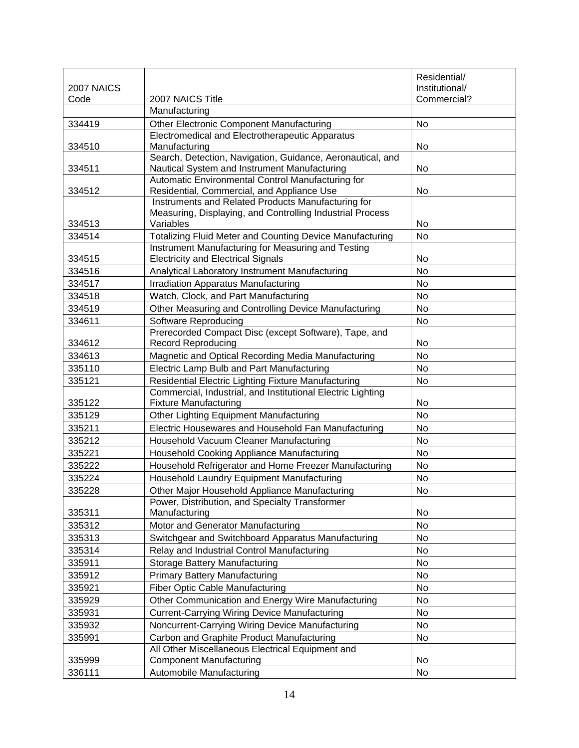|            |                                                                             | Residential/   |
|------------|-----------------------------------------------------------------------------|----------------|
| 2007 NAICS |                                                                             | Institutional/ |
| Code       | 2007 NAICS Title                                                            | Commercial?    |
|            | Manufacturing                                                               |                |
| 334419     | Other Electronic Component Manufacturing                                    | No             |
|            | Electromedical and Electrotherapeutic Apparatus                             |                |
| 334510     | Manufacturing<br>Search, Detection, Navigation, Guidance, Aeronautical, and | No             |
| 334511     | Nautical System and Instrument Manufacturing                                | No             |
|            | Automatic Environmental Control Manufacturing for                           |                |
| 334512     | Residential, Commercial, and Appliance Use                                  | No             |
|            | Instruments and Related Products Manufacturing for                          |                |
|            | Measuring, Displaying, and Controlling Industrial Process                   |                |
| 334513     | Variables                                                                   | No             |
| 334514     | Totalizing Fluid Meter and Counting Device Manufacturing                    | <b>No</b>      |
|            | Instrument Manufacturing for Measuring and Testing                          |                |
| 334515     | <b>Electricity and Electrical Signals</b>                                   | No             |
| 334516     | Analytical Laboratory Instrument Manufacturing                              | <b>No</b>      |
| 334517     | <b>Irradiation Apparatus Manufacturing</b>                                  | <b>No</b>      |
| 334518     | Watch, Clock, and Part Manufacturing                                        | No             |
| 334519     | Other Measuring and Controlling Device Manufacturing                        | No             |
| 334611     | Software Reproducing                                                        | <b>No</b>      |
|            | Prerecorded Compact Disc (except Software), Tape, and                       |                |
| 334612     | <b>Record Reproducing</b>                                                   | No             |
| 334613     | Magnetic and Optical Recording Media Manufacturing                          | <b>No</b>      |
| 335110     | Electric Lamp Bulb and Part Manufacturing                                   | <b>No</b>      |
| 335121     | Residential Electric Lighting Fixture Manufacturing                         | No             |
|            | Commercial, Industrial, and Institutional Electric Lighting                 |                |
| 335122     | <b>Fixture Manufacturing</b>                                                | No             |
| 335129     | Other Lighting Equipment Manufacturing                                      | No             |
| 335211     | Electric Housewares and Household Fan Manufacturing                         | <b>No</b>      |
| 335212     | Household Vacuum Cleaner Manufacturing                                      | No             |
| 335221     | Household Cooking Appliance Manufacturing                                   | No             |
| 335222     | Household Refrigerator and Home Freezer Manufacturing                       | No             |
| 335224     | Household Laundry Equipment Manufacturing                                   | No             |
| 335228     | Other Major Household Appliance Manufacturing                               | No             |
|            | Power, Distribution, and Specialty Transformer                              |                |
| 335311     | Manufacturing                                                               | No             |
| 335312     | Motor and Generator Manufacturing                                           | No             |
| 335313     | Switchgear and Switchboard Apparatus Manufacturing                          | No             |
| 335314     | Relay and Industrial Control Manufacturing                                  | No             |
| 335911     | <b>Storage Battery Manufacturing</b>                                        | No             |
| 335912     | <b>Primary Battery Manufacturing</b>                                        | <b>No</b>      |
| 335921     | <b>Fiber Optic Cable Manufacturing</b>                                      | No             |
| 335929     | Other Communication and Energy Wire Manufacturing                           | No             |
| 335931     | <b>Current-Carrying Wiring Device Manufacturing</b>                         | No             |
| 335932     | Noncurrent-Carrying Wiring Device Manufacturing                             | No             |
| 335991     | Carbon and Graphite Product Manufacturing                                   | No             |
|            | All Other Miscellaneous Electrical Equipment and                            |                |
| 335999     | <b>Component Manufacturing</b>                                              | No             |
| 336111     | Automobile Manufacturing                                                    | No             |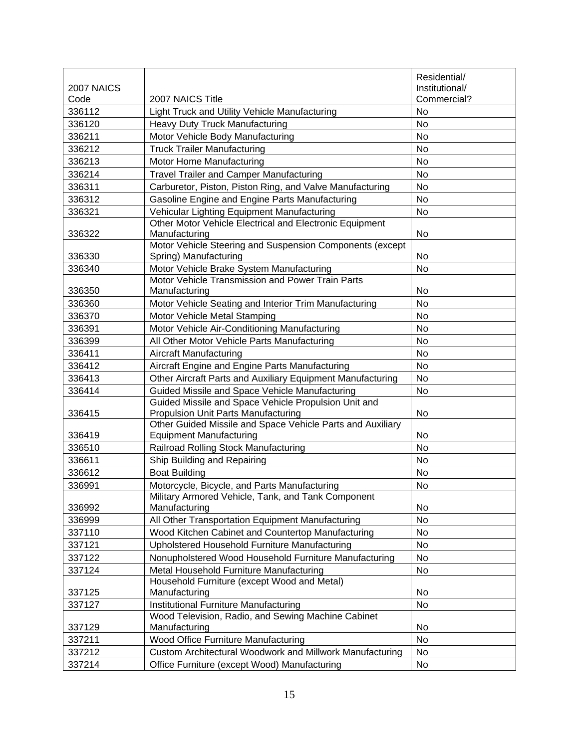|            |                                                                                              | Residential/   |
|------------|----------------------------------------------------------------------------------------------|----------------|
| 2007 NAICS |                                                                                              | Institutional/ |
| Code       | 2007 NAICS Title                                                                             | Commercial?    |
| 336112     | Light Truck and Utility Vehicle Manufacturing                                                | No             |
| 336120     | <b>Heavy Duty Truck Manufacturing</b>                                                        | No             |
| 336211     | Motor Vehicle Body Manufacturing                                                             | <b>No</b>      |
| 336212     | <b>Truck Trailer Manufacturing</b>                                                           | No             |
| 336213     | Motor Home Manufacturing                                                                     | <b>No</b>      |
| 336214     | <b>Travel Trailer and Camper Manufacturing</b>                                               | No             |
| 336311     | Carburetor, Piston, Piston Ring, and Valve Manufacturing                                     | No             |
| 336312     | Gasoline Engine and Engine Parts Manufacturing                                               | No             |
| 336321     | Vehicular Lighting Equipment Manufacturing                                                   | No             |
|            | Other Motor Vehicle Electrical and Electronic Equipment                                      |                |
| 336322     | Manufacturing                                                                                | No             |
|            | Motor Vehicle Steering and Suspension Components (except                                     |                |
| 336330     | Spring) Manufacturing                                                                        | No             |
| 336340     | Motor Vehicle Brake System Manufacturing<br>Motor Vehicle Transmission and Power Train Parts | No             |
| 336350     | Manufacturing                                                                                | No             |
| 336360     | Motor Vehicle Seating and Interior Trim Manufacturing                                        | <b>No</b>      |
| 336370     | Motor Vehicle Metal Stamping                                                                 | <b>No</b>      |
| 336391     | Motor Vehicle Air-Conditioning Manufacturing                                                 | <b>No</b>      |
| 336399     | All Other Motor Vehicle Parts Manufacturing                                                  | No             |
| 336411     | <b>Aircraft Manufacturing</b>                                                                | No             |
| 336412     | Aircraft Engine and Engine Parts Manufacturing                                               | <b>No</b>      |
| 336413     | Other Aircraft Parts and Auxiliary Equipment Manufacturing                                   | <b>No</b>      |
| 336414     | Guided Missile and Space Vehicle Manufacturing                                               | <b>No</b>      |
|            | Guided Missile and Space Vehicle Propulsion Unit and                                         |                |
| 336415     | <b>Propulsion Unit Parts Manufacturing</b>                                                   | No             |
|            | Other Guided Missile and Space Vehicle Parts and Auxiliary                                   |                |
| 336419     | <b>Equipment Manufacturing</b>                                                               | No             |
| 336510     | Railroad Rolling Stock Manufacturing                                                         | <b>No</b>      |
| 336611     | Ship Building and Repairing                                                                  | No             |
| 336612     | <b>Boat Building</b>                                                                         | No             |
| 336991     | Motorcycle, Bicycle, and Parts Manufacturing                                                 | No             |
| 336992     | Military Armored Vehicle, Tank, and Tank Component<br>Manufacturing                          | No             |
| 336999     | All Other Transportation Equipment Manufacturing                                             | No             |
| 337110     | Wood Kitchen Cabinet and Countertop Manufacturing                                            | No             |
| 337121     | Upholstered Household Furniture Manufacturing                                                | No             |
| 337122     | Nonupholstered Wood Household Furniture Manufacturing                                        | No             |
| 337124     | Metal Household Furniture Manufacturing                                                      | No             |
|            | Household Furniture (except Wood and Metal)                                                  |                |
| 337125     | Manufacturing                                                                                | No             |
| 337127     | Institutional Furniture Manufacturing                                                        | No             |
|            | Wood Television, Radio, and Sewing Machine Cabinet                                           |                |
| 337129     | Manufacturing                                                                                | No             |
| 337211     | Wood Office Furniture Manufacturing                                                          | No             |
| 337212     | Custom Architectural Woodwork and Millwork Manufacturing                                     | No             |
| 337214     | Office Furniture (except Wood) Manufacturing                                                 | No             |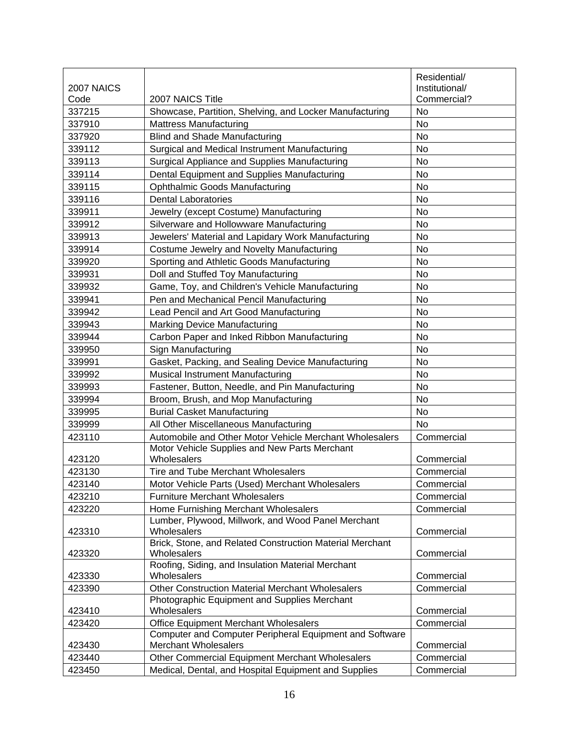|            |                                                                         | Residential/   |
|------------|-------------------------------------------------------------------------|----------------|
| 2007 NAICS |                                                                         | Institutional/ |
| Code       | 2007 NAICS Title                                                        | Commercial?    |
| 337215     | Showcase, Partition, Shelving, and Locker Manufacturing                 | No             |
| 337910     | <b>Mattress Manufacturing</b>                                           | <b>No</b>      |
| 337920     | <b>Blind and Shade Manufacturing</b>                                    | No             |
| 339112     | Surgical and Medical Instrument Manufacturing                           | No             |
| 339113     | Surgical Appliance and Supplies Manufacturing                           | <b>No</b>      |
| 339114     | Dental Equipment and Supplies Manufacturing                             | No             |
| 339115     | <b>Ophthalmic Goods Manufacturing</b>                                   | No             |
| 339116     | <b>Dental Laboratories</b>                                              | No             |
| 339911     | Jewelry (except Costume) Manufacturing                                  | No             |
| 339912     | Silverware and Hollowware Manufacturing                                 | <b>No</b>      |
| 339913     | Jewelers' Material and Lapidary Work Manufacturing                      | No             |
| 339914     | Costume Jewelry and Novelty Manufacturing                               | No             |
| 339920     | Sporting and Athletic Goods Manufacturing                               | No             |
| 339931     | Doll and Stuffed Toy Manufacturing                                      | No             |
| 339932     | Game, Toy, and Children's Vehicle Manufacturing                         | No             |
| 339941     | Pen and Mechanical Pencil Manufacturing                                 | No             |
| 339942     | Lead Pencil and Art Good Manufacturing                                  | No             |
| 339943     | <b>Marking Device Manufacturing</b>                                     | No             |
| 339944     | Carbon Paper and Inked Ribbon Manufacturing                             | No             |
| 339950     | Sign Manufacturing                                                      | No             |
| 339991     | Gasket, Packing, and Sealing Device Manufacturing                       | No             |
| 339992     | Musical Instrument Manufacturing                                        | <b>No</b>      |
| 339993     | Fastener, Button, Needle, and Pin Manufacturing                         | No             |
| 339994     | Broom, Brush, and Mop Manufacturing                                     | No             |
| 339995     | <b>Burial Casket Manufacturing</b>                                      | No             |
| 339999     | All Other Miscellaneous Manufacturing                                   | <b>No</b>      |
| 423110     | Automobile and Other Motor Vehicle Merchant Wholesalers                 | Commercial     |
|            | Motor Vehicle Supplies and New Parts Merchant                           |                |
| 423120     | Wholesalers                                                             | Commercial     |
| 423130     | Tire and Tube Merchant Wholesalers                                      | Commercial     |
| 423140     | Motor Vehicle Parts (Used) Merchant Wholesalers                         | Commercial     |
| 423210     | <b>Furniture Merchant Wholesalers</b>                                   | Commercial     |
| 423220     | Home Furnishing Merchant Wholesalers                                    | Commercial     |
|            | Lumber, Plywood, Millwork, and Wood Panel Merchant                      |                |
| 423310     | Wholesalers                                                             | Commercial     |
|            | Brick, Stone, and Related Construction Material Merchant<br>Wholesalers |                |
| 423320     | Roofing, Siding, and Insulation Material Merchant                       | Commercial     |
| 423330     | Wholesalers                                                             | Commercial     |
| 423390     | Other Construction Material Merchant Wholesalers                        | Commercial     |
|            | Photographic Equipment and Supplies Merchant                            |                |
| 423410     | Wholesalers                                                             | Commercial     |
| 423420     | Office Equipment Merchant Wholesalers                                   | Commercial     |
|            | Computer and Computer Peripheral Equipment and Software                 |                |
| 423430     | <b>Merchant Wholesalers</b>                                             | Commercial     |
| 423440     | Other Commercial Equipment Merchant Wholesalers                         | Commercial     |
| 423450     | Medical, Dental, and Hospital Equipment and Supplies                    | Commercial     |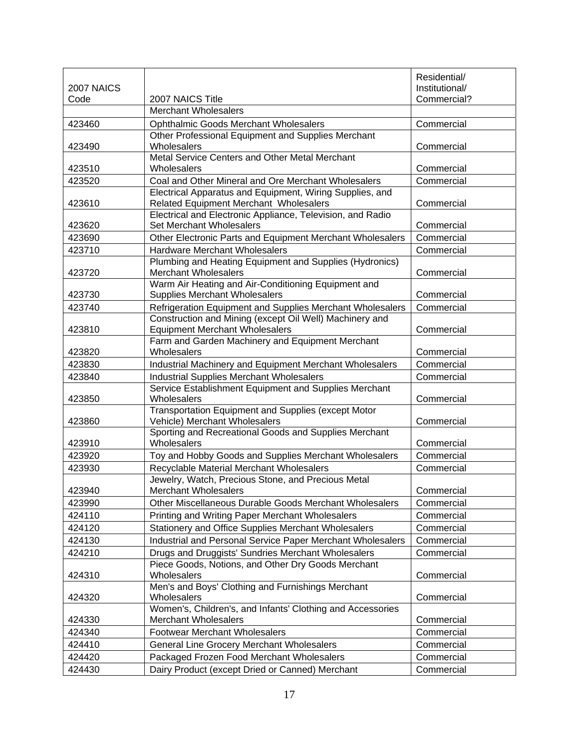|            |                                                                                    | Residential/   |
|------------|------------------------------------------------------------------------------------|----------------|
| 2007 NAICS |                                                                                    | Institutional/ |
| Code       | 2007 NAICS Title                                                                   | Commercial?    |
|            | <b>Merchant Wholesalers</b>                                                        |                |
| 423460     | <b>Ophthalmic Goods Merchant Wholesalers</b>                                       | Commercial     |
|            | Other Professional Equipment and Supplies Merchant                                 |                |
| 423490     | Wholesalers<br>Metal Service Centers and Other Metal Merchant                      | Commercial     |
| 423510     | Wholesalers                                                                        | Commercial     |
| 423520     | Coal and Other Mineral and Ore Merchant Wholesalers                                | Commercial     |
|            | Electrical Apparatus and Equipment, Wiring Supplies, and                           |                |
| 423610     | <b>Related Equipment Merchant Wholesalers</b>                                      | Commercial     |
|            | Electrical and Electronic Appliance, Television, and Radio                         |                |
| 423620     | Set Merchant Wholesalers                                                           | Commercial     |
| 423690     | Other Electronic Parts and Equipment Merchant Wholesalers                          | Commercial     |
| 423710     | <b>Hardware Merchant Wholesalers</b>                                               | Commercial     |
|            | Plumbing and Heating Equipment and Supplies (Hydronics)                            |                |
| 423720     | <b>Merchant Wholesalers</b><br>Warm Air Heating and Air-Conditioning Equipment and | Commercial     |
| 423730     | <b>Supplies Merchant Wholesalers</b>                                               | Commercial     |
| 423740     | Refrigeration Equipment and Supplies Merchant Wholesalers                          | Commercial     |
|            | Construction and Mining (except Oil Well) Machinery and                            |                |
| 423810     | <b>Equipment Merchant Wholesalers</b>                                              | Commercial     |
|            | Farm and Garden Machinery and Equipment Merchant                                   |                |
| 423820     | Wholesalers                                                                        | Commercial     |
| 423830     | Industrial Machinery and Equipment Merchant Wholesalers                            | Commercial     |
| 423840     | <b>Industrial Supplies Merchant Wholesalers</b>                                    | Commercial     |
|            | Service Establishment Equipment and Supplies Merchant                              |                |
| 423850     | Wholesalers                                                                        | Commercial     |
|            | Transportation Equipment and Supplies (except Motor                                |                |
| 423860     | Vehicle) Merchant Wholesalers                                                      | Commercial     |
|            | Sporting and Recreational Goods and Supplies Merchant                              |                |
| 423910     | Wholesalers                                                                        | Commercial     |
| 423920     | Toy and Hobby Goods and Supplies Merchant Wholesalers                              | Commercial     |
| 423930     | Recyclable Material Merchant Wholesalers                                           | Commercial     |
| 423940     | Jewelry, Watch, Precious Stone, and Precious Metal                                 | Commercial     |
|            | Merchant Wholesalers                                                               |                |
| 423990     | Other Miscellaneous Durable Goods Merchant Wholesalers                             | Commercial     |
| 424110     | Printing and Writing Paper Merchant Wholesalers                                    | Commercial     |
| 424120     | Stationery and Office Supplies Merchant Wholesalers                                | Commercial     |
| 424130     | Industrial and Personal Service Paper Merchant Wholesalers                         | Commercial     |
| 424210     | Drugs and Druggists' Sundries Merchant Wholesalers                                 | Commercial     |
| 424310     | Piece Goods, Notions, and Other Dry Goods Merchant<br>Wholesalers                  | Commercial     |
|            | Men's and Boys' Clothing and Furnishings Merchant                                  |                |
| 424320     | Wholesalers                                                                        | Commercial     |
|            | Women's, Children's, and Infants' Clothing and Accessories                         |                |
| 424330     | <b>Merchant Wholesalers</b>                                                        | Commercial     |
| 424340     | <b>Footwear Merchant Wholesalers</b>                                               | Commercial     |
| 424410     | General Line Grocery Merchant Wholesalers                                          | Commercial     |
| 424420     | Packaged Frozen Food Merchant Wholesalers                                          | Commercial     |
| 424430     | Dairy Product (except Dried or Canned) Merchant                                    | Commercial     |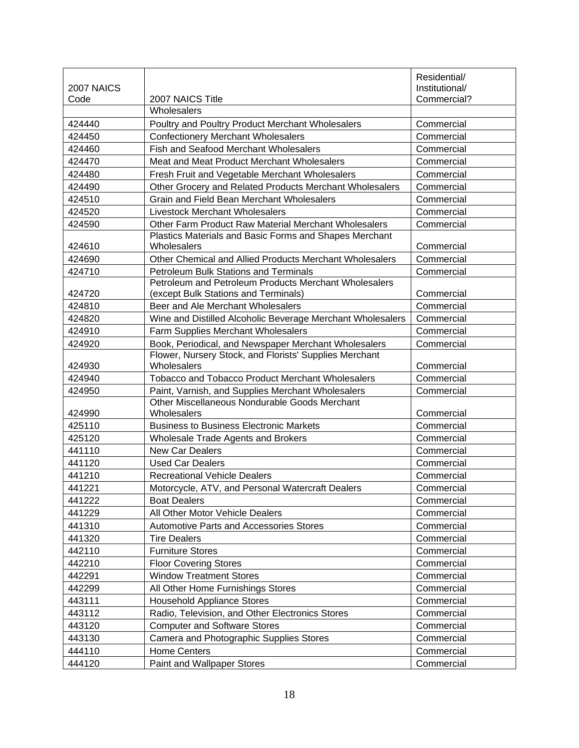|                    |                                                                                               | Residential/                  |
|--------------------|-----------------------------------------------------------------------------------------------|-------------------------------|
| 2007 NAICS<br>Code | 2007 NAICS Title                                                                              | Institutional/<br>Commercial? |
|                    | Wholesalers                                                                                   |                               |
| 424440             | Poultry and Poultry Product Merchant Wholesalers                                              | Commercial                    |
| 424450             | <b>Confectionery Merchant Wholesalers</b>                                                     | Commercial                    |
| 424460             | Fish and Seafood Merchant Wholesalers                                                         | Commercial                    |
| 424470             | Meat and Meat Product Merchant Wholesalers                                                    | Commercial                    |
| 424480             | Fresh Fruit and Vegetable Merchant Wholesalers                                                | Commercial                    |
| 424490             | Other Grocery and Related Products Merchant Wholesalers                                       | Commercial                    |
| 424510             | <b>Grain and Field Bean Merchant Wholesalers</b>                                              | Commercial                    |
| 424520             | Livestock Merchant Wholesalers                                                                | Commercial                    |
| 424590             | Other Farm Product Raw Material Merchant Wholesalers                                          | Commercial                    |
|                    | Plastics Materials and Basic Forms and Shapes Merchant                                        |                               |
| 424610             | Wholesalers                                                                                   | Commercial                    |
| 424690             | Other Chemical and Allied Products Merchant Wholesalers                                       | Commercial                    |
| 424710             | <b>Petroleum Bulk Stations and Terminals</b>                                                  | Commercial                    |
| 424720             | Petroleum and Petroleum Products Merchant Wholesalers<br>(except Bulk Stations and Terminals) | Commercial                    |
| 424810             | Beer and Ale Merchant Wholesalers                                                             | Commercial                    |
| 424820             | Wine and Distilled Alcoholic Beverage Merchant Wholesalers                                    | Commercial                    |
| 424910             | Farm Supplies Merchant Wholesalers                                                            | Commercial                    |
| 424920             | Book, Periodical, and Newspaper Merchant Wholesalers                                          | Commercial                    |
|                    | Flower, Nursery Stock, and Florists' Supplies Merchant                                        |                               |
| 424930             | Wholesalers                                                                                   | Commercial                    |
| 424940             | <b>Tobacco and Tobacco Product Merchant Wholesalers</b>                                       | Commercial                    |
| 424950             | Paint, Varnish, and Supplies Merchant Wholesalers                                             | Commercial                    |
|                    | Other Miscellaneous Nondurable Goods Merchant                                                 |                               |
| 424990<br>425110   | Wholesalers<br><b>Business to Business Electronic Markets</b>                                 | Commercial                    |
|                    |                                                                                               | Commercial                    |
| 425120             | Wholesale Trade Agents and Brokers                                                            | Commercial                    |
| 441110             | <b>New Car Dealers</b>                                                                        | Commercial                    |
| 441120             | <b>Used Car Dealers</b>                                                                       | Commercial                    |
| 441210             | <b>Recreational Vehicle Dealers</b>                                                           | Commercial                    |
| 441221             | Motorcycle, ATV, and Personal Watercraft Dealers                                              | Commercial                    |
| 441222             | <b>Boat Dealers</b>                                                                           | Commercial                    |
| 441229             | All Other Motor Vehicle Dealers                                                               | Commercial                    |
| 441310             | <b>Automotive Parts and Accessories Stores</b>                                                | Commercial                    |
| 441320             | <b>Tire Dealers</b>                                                                           | Commercial                    |
| 442110             | <b>Furniture Stores</b>                                                                       | Commercial                    |
| 442210             | <b>Floor Covering Stores</b>                                                                  | Commercial                    |
| 442291             | <b>Window Treatment Stores</b>                                                                | Commercial                    |
| 442299             | All Other Home Furnishings Stores                                                             | Commercial                    |
| 443111             | <b>Household Appliance Stores</b>                                                             | Commercial                    |
| 443112             | Radio, Television, and Other Electronics Stores                                               | Commercial                    |
| 443120             | <b>Computer and Software Stores</b>                                                           | Commercial                    |
| 443130             | Camera and Photographic Supplies Stores                                                       | Commercial                    |
| 444110             | <b>Home Centers</b>                                                                           | Commercial                    |
| 444120             | Paint and Wallpaper Stores                                                                    | Commercial                    |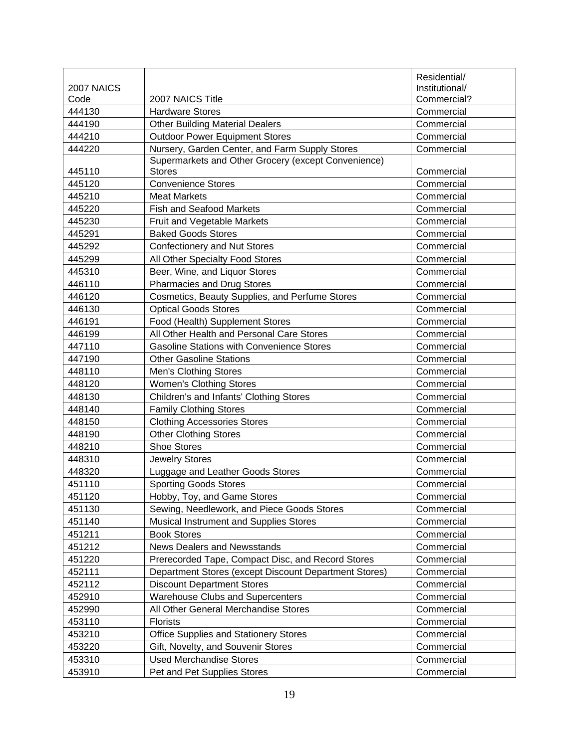|            |                                                       | Residential/   |
|------------|-------------------------------------------------------|----------------|
| 2007 NAICS |                                                       | Institutional/ |
| Code       | 2007 NAICS Title                                      | Commercial?    |
| 444130     | <b>Hardware Stores</b>                                | Commercial     |
| 444190     | <b>Other Building Material Dealers</b>                | Commercial     |
| 444210     | <b>Outdoor Power Equipment Stores</b>                 | Commercial     |
| 444220     | Nursery, Garden Center, and Farm Supply Stores        | Commercial     |
|            | Supermarkets and Other Grocery (except Convenience)   |                |
| 445110     | <b>Stores</b>                                         | Commercial     |
| 445120     | <b>Convenience Stores</b>                             | Commercial     |
| 445210     | <b>Meat Markets</b>                                   | Commercial     |
| 445220     | <b>Fish and Seafood Markets</b>                       | Commercial     |
| 445230     | Fruit and Vegetable Markets                           | Commercial     |
| 445291     | <b>Baked Goods Stores</b>                             | Commercial     |
| 445292     | <b>Confectionery and Nut Stores</b>                   | Commercial     |
| 445299     | All Other Specialty Food Stores                       | Commercial     |
| 445310     | Beer, Wine, and Liquor Stores                         | Commercial     |
| 446110     | <b>Pharmacies and Drug Stores</b>                     | Commercial     |
| 446120     | Cosmetics, Beauty Supplies, and Perfume Stores        | Commercial     |
| 446130     | <b>Optical Goods Stores</b>                           | Commercial     |
| 446191     | Food (Health) Supplement Stores                       | Commercial     |
| 446199     | All Other Health and Personal Care Stores             | Commercial     |
| 447110     | <b>Gasoline Stations with Convenience Stores</b>      | Commercial     |
| 447190     | <b>Other Gasoline Stations</b>                        | Commercial     |
| 448110     | <b>Men's Clothing Stores</b>                          | Commercial     |
| 448120     | <b>Women's Clothing Stores</b>                        | Commercial     |
| 448130     | Children's and Infants' Clothing Stores               | Commercial     |
| 448140     | <b>Family Clothing Stores</b>                         | Commercial     |
| 448150     | <b>Clothing Accessories Stores</b>                    | Commercial     |
| 448190     | <b>Other Clothing Stores</b>                          | Commercial     |
| 448210     | <b>Shoe Stores</b>                                    | Commercial     |
| 448310     | <b>Jewelry Stores</b>                                 | Commercial     |
| 448320     | Luggage and Leather Goods Stores                      | Commercial     |
| 451110     | <b>Sporting Goods Stores</b>                          | Commercial     |
| 451120     | Hobby, Toy, and Game Stores                           | Commercial     |
| 451130     | Sewing, Needlework, and Piece Goods Stores            | Commercial     |
| 451140     | Musical Instrument and Supplies Stores                | Commercial     |
| 451211     | <b>Book Stores</b>                                    | Commercial     |
| 451212     | <b>News Dealers and Newsstands</b>                    | Commercial     |
| 451220     | Prerecorded Tape, Compact Disc, and Record Stores     | Commercial     |
| 452111     | Department Stores (except Discount Department Stores) | Commercial     |
| 452112     | <b>Discount Department Stores</b>                     | Commercial     |
| 452910     | Warehouse Clubs and Supercenters                      | Commercial     |
| 452990     | All Other General Merchandise Stores                  | Commercial     |
| 453110     | <b>Florists</b>                                       | Commercial     |
| 453210     | Office Supplies and Stationery Stores                 | Commercial     |
| 453220     | Gift, Novelty, and Souvenir Stores                    | Commercial     |
| 453310     | <b>Used Merchandise Stores</b>                        | Commercial     |
| 453910     | Pet and Pet Supplies Stores                           | Commercial     |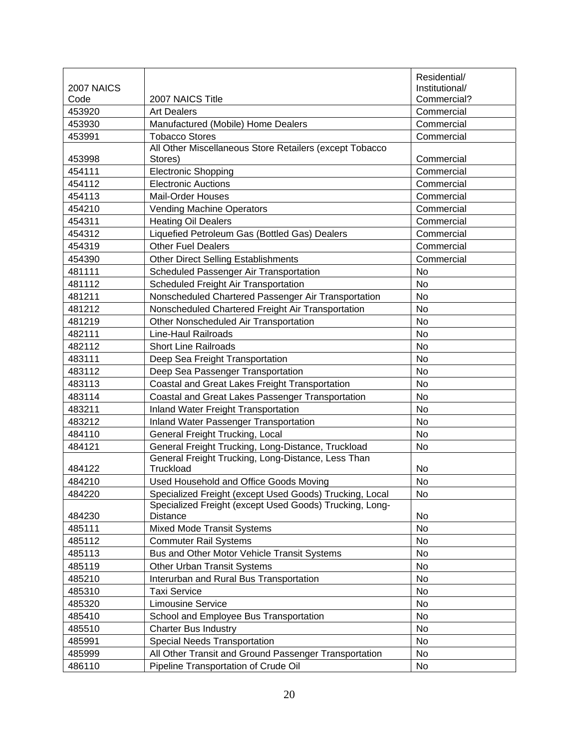|            |                                                                            | Residential/   |
|------------|----------------------------------------------------------------------------|----------------|
| 2007 NAICS |                                                                            | Institutional/ |
| Code       | 2007 NAICS Title                                                           | Commercial?    |
| 453920     | <b>Art Dealers</b>                                                         | Commercial     |
| 453930     | Manufactured (Mobile) Home Dealers                                         | Commercial     |
| 453991     | <b>Tobacco Stores</b>                                                      | Commercial     |
|            | All Other Miscellaneous Store Retailers (except Tobacco                    |                |
| 453998     | Stores)                                                                    | Commercial     |
| 454111     | <b>Electronic Shopping</b>                                                 | Commercial     |
| 454112     | <b>Electronic Auctions</b>                                                 | Commercial     |
| 454113     | <b>Mail-Order Houses</b>                                                   | Commercial     |
| 454210     | Vending Machine Operators                                                  | Commercial     |
| 454311     | <b>Heating Oil Dealers</b>                                                 | Commercial     |
| 454312     | Liquefied Petroleum Gas (Bottled Gas) Dealers                              | Commercial     |
| 454319     | <b>Other Fuel Dealers</b>                                                  | Commercial     |
| 454390     | <b>Other Direct Selling Establishments</b>                                 | Commercial     |
| 481111     | Scheduled Passenger Air Transportation                                     | No             |
| 481112     | Scheduled Freight Air Transportation                                       | <b>No</b>      |
| 481211     | Nonscheduled Chartered Passenger Air Transportation                        | No             |
| 481212     | Nonscheduled Chartered Freight Air Transportation                          | No             |
| 481219     | Other Nonscheduled Air Transportation                                      | No             |
| 482111     | Line-Haul Railroads                                                        | No             |
| 482112     | <b>Short Line Railroads</b>                                                | No             |
| 483111     | Deep Sea Freight Transportation                                            | No             |
| 483112     | Deep Sea Passenger Transportation                                          | <b>No</b>      |
| 483113     | Coastal and Great Lakes Freight Transportation                             | No             |
| 483114     | Coastal and Great Lakes Passenger Transportation                           | <b>No</b>      |
| 483211     | <b>Inland Water Freight Transportation</b>                                 | No             |
| 483212     | <b>Inland Water Passenger Transportation</b>                               | No             |
| 484110     | General Freight Trucking, Local                                            | <b>No</b>      |
| 484121     | General Freight Trucking, Long-Distance, Truckload                         | No             |
| 484122     | General Freight Trucking, Long-Distance, Less Than<br>Truckload            | No             |
| 484210     | Used Household and Office Goods Moving                                     | No             |
| 484220     | Specialized Freight (except Used Goods) Trucking, Local                    | No.            |
| 484230     | Specialized Freight (except Used Goods) Trucking, Long-<br><b>Distance</b> | No             |
| 485111     | <b>Mixed Mode Transit Systems</b>                                          | No             |
| 485112     | <b>Commuter Rail Systems</b>                                               | No             |
| 485113     | Bus and Other Motor Vehicle Transit Systems                                | No             |
| 485119     | Other Urban Transit Systems                                                | No             |
| 485210     | Interurban and Rural Bus Transportation                                    | No             |
| 485310     | <b>Taxi Service</b>                                                        | No             |
| 485320     | <b>Limousine Service</b>                                                   | No             |
| 485410     | School and Employee Bus Transportation                                     | No             |
| 485510     | <b>Charter Bus Industry</b>                                                | No             |
| 485991     | <b>Special Needs Transportation</b>                                        | No             |
| 485999     | All Other Transit and Ground Passenger Transportation                      | <b>No</b>      |
| 486110     | Pipeline Transportation of Crude Oil                                       | No             |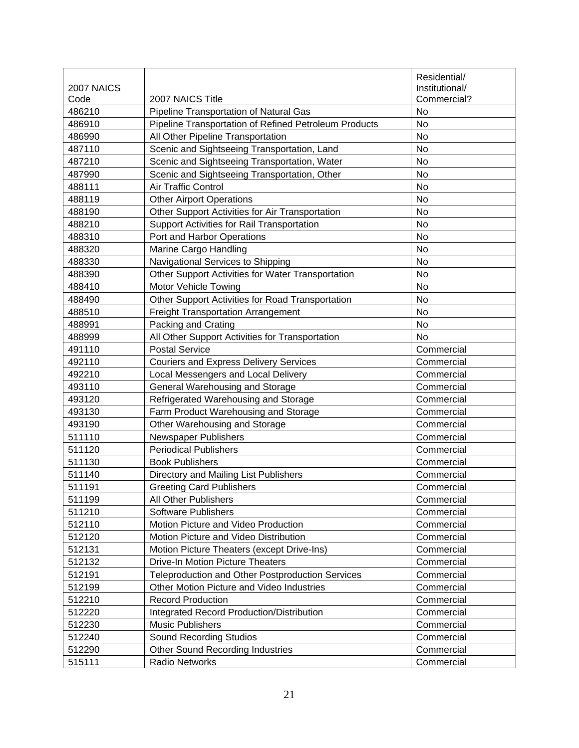|            |                                                       | Residential/   |
|------------|-------------------------------------------------------|----------------|
| 2007 NAICS |                                                       | Institutional/ |
| Code       | 2007 NAICS Title                                      | Commercial?    |
| 486210     | Pipeline Transportation of Natural Gas                | No             |
| 486910     | Pipeline Transportation of Refined Petroleum Products | No             |
| 486990     | All Other Pipeline Transportation                     | <b>No</b>      |
| 487110     | Scenic and Sightseeing Transportation, Land           | No             |
| 487210     | Scenic and Sightseeing Transportation, Water          | <b>No</b>      |
| 487990     | Scenic and Sightseeing Transportation, Other          | <b>No</b>      |
| 488111     | Air Traffic Control                                   | No             |
| 488119     | <b>Other Airport Operations</b>                       | No             |
| 488190     | Other Support Activities for Air Transportation       | <b>No</b>      |
| 488210     | Support Activities for Rail Transportation            | <b>No</b>      |
| 488310     | Port and Harbor Operations                            | <b>No</b>      |
| 488320     | Marine Cargo Handling                                 | <b>No</b>      |
| 488330     | Navigational Services to Shipping                     | No             |
| 488390     | Other Support Activities for Water Transportation     | No             |
| 488410     | Motor Vehicle Towing                                  | <b>No</b>      |
| 488490     | Other Support Activities for Road Transportation      | No             |
| 488510     | <b>Freight Transportation Arrangement</b>             | <b>No</b>      |
| 488991     | Packing and Crating                                   | No             |
| 488999     | All Other Support Activities for Transportation       | <b>No</b>      |
| 491110     | <b>Postal Service</b>                                 | Commercial     |
| 492110     | <b>Couriers and Express Delivery Services</b>         | Commercial     |
| 492210     | Local Messengers and Local Delivery                   | Commercial     |
| 493110     | General Warehousing and Storage                       | Commercial     |
| 493120     | Refrigerated Warehousing and Storage                  | Commercial     |
| 493130     | Farm Product Warehousing and Storage                  | Commercial     |
| 493190     | Other Warehousing and Storage                         | Commercial     |
| 511110     | <b>Newspaper Publishers</b>                           | Commercial     |
| 511120     | <b>Periodical Publishers</b>                          | Commercial     |
| 511130     | <b>Book Publishers</b>                                | Commercial     |
| 511140     | Directory and Mailing List Publishers                 | Commercial     |
| 511191     | <b>Greeting Card Publishers</b>                       | Commercial     |
| 511199     | All Other Publishers                                  | Commercial     |
| 511210     | Software Publishers                                   | Commercial     |
| 512110     | Motion Picture and Video Production                   | Commercial     |
| 512120     | Motion Picture and Video Distribution                 | Commercial     |
| 512131     | Motion Picture Theaters (except Drive-Ins)            | Commercial     |
| 512132     | <b>Drive-In Motion Picture Theaters</b>               | Commercial     |
| 512191     | Teleproduction and Other Postproduction Services      | Commercial     |
| 512199     | Other Motion Picture and Video Industries             | Commercial     |
| 512210     | <b>Record Production</b>                              | Commercial     |
| 512220     | Integrated Record Production/Distribution             | Commercial     |
| 512230     | <b>Music Publishers</b>                               | Commercial     |
| 512240     | <b>Sound Recording Studios</b>                        | Commercial     |
| 512290     | <b>Other Sound Recording Industries</b>               | Commercial     |
| 515111     | Radio Networks                                        | Commercial     |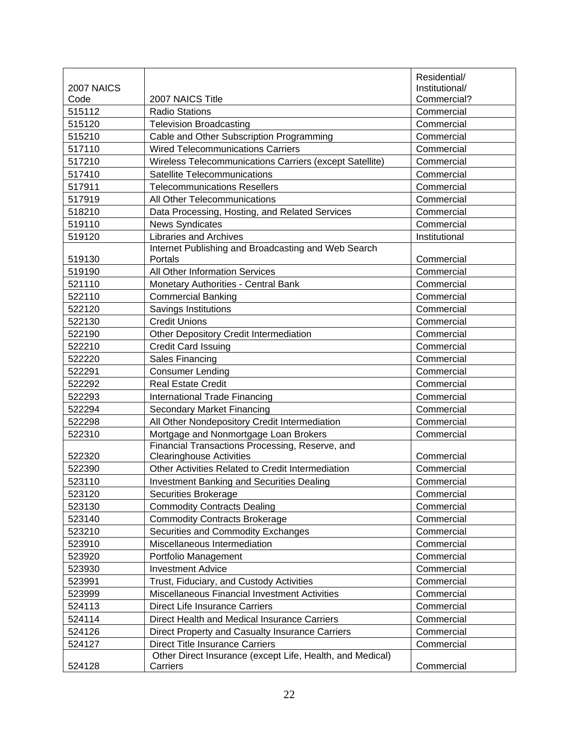|            |                                                           | Residential/   |
|------------|-----------------------------------------------------------|----------------|
| 2007 NAICS |                                                           | Institutional/ |
| Code       | 2007 NAICS Title                                          | Commercial?    |
| 515112     | <b>Radio Stations</b>                                     | Commercial     |
| 515120     | <b>Television Broadcasting</b>                            | Commercial     |
| 515210     | Cable and Other Subscription Programming                  | Commercial     |
| 517110     | <b>Wired Telecommunications Carriers</b>                  | Commercial     |
| 517210     | Wireless Telecommunications Carriers (except Satellite)   | Commercial     |
| 517410     | Satellite Telecommunications                              | Commercial     |
| 517911     | <b>Telecommunications Resellers</b>                       | Commercial     |
| 517919     | All Other Telecommunications                              | Commercial     |
| 518210     | Data Processing, Hosting, and Related Services            | Commercial     |
| 519110     | <b>News Syndicates</b>                                    | Commercial     |
| 519120     | <b>Libraries and Archives</b>                             | Institutional  |
|            | Internet Publishing and Broadcasting and Web Search       |                |
| 519130     | Portals                                                   | Commercial     |
| 519190     | All Other Information Services                            | Commercial     |
| 521110     | <b>Monetary Authorities - Central Bank</b>                | Commercial     |
| 522110     | <b>Commercial Banking</b>                                 | Commercial     |
| 522120     | Savings Institutions                                      | Commercial     |
| 522130     | <b>Credit Unions</b>                                      | Commercial     |
| 522190     | Other Depository Credit Intermediation                    | Commercial     |
| 522210     | <b>Credit Card Issuing</b>                                | Commercial     |
| 522220     | Sales Financing                                           | Commercial     |
| 522291     | <b>Consumer Lending</b>                                   | Commercial     |
| 522292     | <b>Real Estate Credit</b>                                 | Commercial     |
| 522293     | International Trade Financing                             | Commercial     |
| 522294     | Secondary Market Financing                                | Commercial     |
| 522298     | All Other Nondepository Credit Intermediation             | Commercial     |
| 522310     | Mortgage and Nonmortgage Loan Brokers                     | Commercial     |
|            | Financial Transactions Processing, Reserve, and           |                |
| 522320     | <b>Clearinghouse Activities</b>                           | Commercial     |
| 522390     | Other Activities Related to Credit Intermediation         | Commercial     |
| 523110     | <b>Investment Banking and Securities Dealing</b>          | Commercial     |
| 523120     | Securities Brokerage                                      | Commercial     |
| 523130     | <b>Commodity Contracts Dealing</b>                        | Commercial     |
| 523140     | <b>Commodity Contracts Brokerage</b>                      | Commercial     |
| 523210     | Securities and Commodity Exchanges                        | Commercial     |
| 523910     | Miscellaneous Intermediation                              | Commercial     |
| 523920     | Portfolio Management                                      | Commercial     |
| 523930     | <b>Investment Advice</b>                                  | Commercial     |
| 523991     | Trust, Fiduciary, and Custody Activities                  | Commercial     |
| 523999     | Miscellaneous Financial Investment Activities             | Commercial     |
| 524113     | Direct Life Insurance Carriers                            | Commercial     |
| 524114     | Direct Health and Medical Insurance Carriers              | Commercial     |
| 524126     | Direct Property and Casualty Insurance Carriers           | Commercial     |
| 524127     | <b>Direct Title Insurance Carriers</b>                    | Commercial     |
|            | Other Direct Insurance (except Life, Health, and Medical) |                |
| 524128     | Carriers                                                  | Commercial     |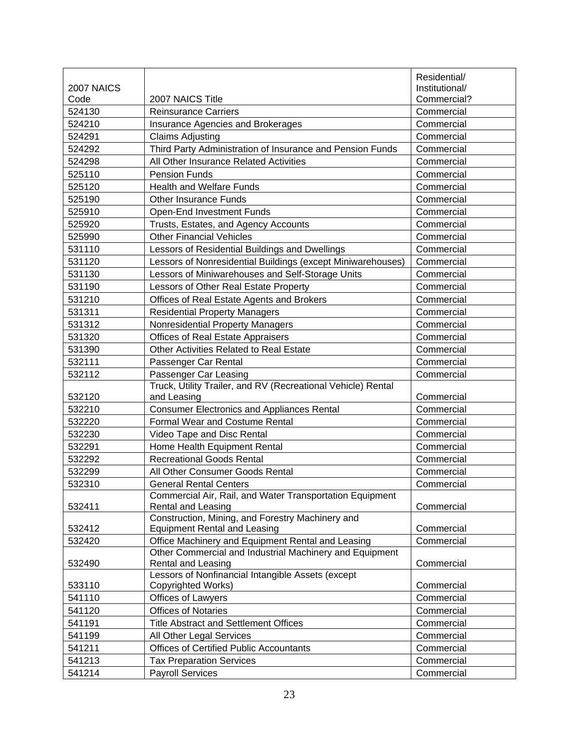|            |                                                                                         | Residential/   |
|------------|-----------------------------------------------------------------------------------------|----------------|
| 2007 NAICS |                                                                                         | Institutional/ |
| Code       | 2007 NAICS Title                                                                        | Commercial?    |
| 524130     | <b>Reinsurance Carriers</b>                                                             | Commercial     |
| 524210     | Insurance Agencies and Brokerages                                                       | Commercial     |
| 524291     | <b>Claims Adjusting</b>                                                                 | Commercial     |
| 524292     | Third Party Administration of Insurance and Pension Funds                               | Commercial     |
| 524298     | All Other Insurance Related Activities                                                  | Commercial     |
| 525110     | <b>Pension Funds</b>                                                                    | Commercial     |
| 525120     | Health and Welfare Funds                                                                | Commercial     |
| 525190     | <b>Other Insurance Funds</b>                                                            | Commercial     |
| 525910     | <b>Open-End Investment Funds</b>                                                        | Commercial     |
| 525920     | Trusts, Estates, and Agency Accounts                                                    | Commercial     |
| 525990     | <b>Other Financial Vehicles</b>                                                         | Commercial     |
| 531110     | Lessors of Residential Buildings and Dwellings                                          | Commercial     |
| 531120     | Lessors of Nonresidential Buildings (except Miniwarehouses)                             | Commercial     |
| 531130     | Lessors of Miniwarehouses and Self-Storage Units                                        | Commercial     |
| 531190     | Lessors of Other Real Estate Property                                                   | Commercial     |
| 531210     | Offices of Real Estate Agents and Brokers                                               | Commercial     |
| 531311     | <b>Residential Property Managers</b>                                                    | Commercial     |
| 531312     | Nonresidential Property Managers                                                        | Commercial     |
| 531320     | <b>Offices of Real Estate Appraisers</b>                                                | Commercial     |
| 531390     | Other Activities Related to Real Estate                                                 | Commercial     |
| 532111     | Passenger Car Rental                                                                    | Commercial     |
| 532112     | Passenger Car Leasing                                                                   | Commercial     |
|            | Truck, Utility Trailer, and RV (Recreational Vehicle) Rental                            |                |
| 532120     | and Leasing                                                                             | Commercial     |
| 532210     | <b>Consumer Electronics and Appliances Rental</b>                                       | Commercial     |
| 532220     | <b>Formal Wear and Costume Rental</b>                                                   | Commercial     |
| 532230     | Video Tape and Disc Rental                                                              | Commercial     |
| 532291     | Home Health Equipment Rental                                                            | Commercial     |
| 532292     | <b>Recreational Goods Rental</b>                                                        | Commercial     |
| 532299     | All Other Consumer Goods Rental                                                         | Commercial     |
| 532310     | <b>General Rental Centers</b>                                                           | Commercial     |
|            | Commercial Air, Rail, and Water Transportation Equipment                                |                |
| 532411     | <b>Rental and Leasing</b>                                                               | Commercial     |
| 532412     | Construction, Mining, and Forestry Machinery and<br><b>Equipment Rental and Leasing</b> | Commercial     |
| 532420     | Office Machinery and Equipment Rental and Leasing                                       | Commercial     |
|            | Other Commercial and Industrial Machinery and Equipment                                 |                |
| 532490     | <b>Rental and Leasing</b>                                                               | Commercial     |
|            | Lessors of Nonfinancial Intangible Assets (except                                       |                |
| 533110     | Copyrighted Works)                                                                      | Commercial     |
| 541110     | Offices of Lawyers                                                                      | Commercial     |
| 541120     | <b>Offices of Notaries</b>                                                              | Commercial     |
| 541191     | <b>Title Abstract and Settlement Offices</b>                                            | Commercial     |
| 541199     | All Other Legal Services                                                                | Commercial     |
| 541211     | <b>Offices of Certified Public Accountants</b>                                          | Commercial     |
| 541213     | <b>Tax Preparation Services</b>                                                         | Commercial     |
| 541214     | <b>Payroll Services</b>                                                                 | Commercial     |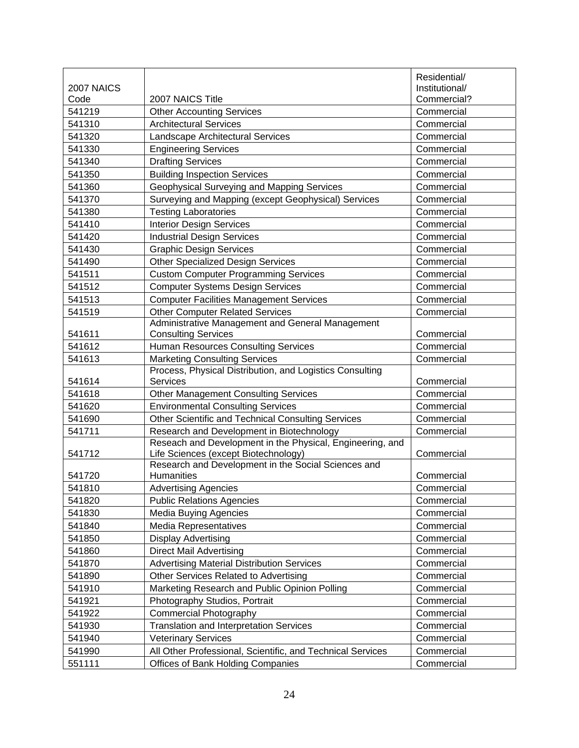|            |                                                                                                   | Residential/   |
|------------|---------------------------------------------------------------------------------------------------|----------------|
| 2007 NAICS |                                                                                                   | Institutional/ |
| Code       | 2007 NAICS Title                                                                                  | Commercial?    |
| 541219     | <b>Other Accounting Services</b>                                                                  | Commercial     |
| 541310     | <b>Architectural Services</b>                                                                     | Commercial     |
| 541320     | Landscape Architectural Services                                                                  | Commercial     |
| 541330     | <b>Engineering Services</b>                                                                       | Commercial     |
| 541340     | <b>Drafting Services</b>                                                                          | Commercial     |
| 541350     | <b>Building Inspection Services</b>                                                               | Commercial     |
| 541360     | Geophysical Surveying and Mapping Services                                                        | Commercial     |
| 541370     | Surveying and Mapping (except Geophysical) Services                                               | Commercial     |
| 541380     | <b>Testing Laboratories</b>                                                                       | Commercial     |
| 541410     | <b>Interior Design Services</b>                                                                   | Commercial     |
| 541420     | <b>Industrial Design Services</b>                                                                 | Commercial     |
| 541430     | <b>Graphic Design Services</b>                                                                    | Commercial     |
| 541490     | <b>Other Specialized Design Services</b>                                                          | Commercial     |
| 541511     | <b>Custom Computer Programming Services</b>                                                       | Commercial     |
| 541512     | <b>Computer Systems Design Services</b>                                                           | Commercial     |
| 541513     | <b>Computer Facilities Management Services</b>                                                    | Commercial     |
| 541519     | <b>Other Computer Related Services</b>                                                            | Commercial     |
|            | Administrative Management and General Management                                                  |                |
| 541611     | <b>Consulting Services</b>                                                                        | Commercial     |
| 541612     | Human Resources Consulting Services                                                               | Commercial     |
| 541613     | <b>Marketing Consulting Services</b>                                                              | Commercial     |
|            | Process, Physical Distribution, and Logistics Consulting                                          |                |
| 541614     | <b>Services</b>                                                                                   | Commercial     |
| 541618     | <b>Other Management Consulting Services</b>                                                       | Commercial     |
| 541620     | <b>Environmental Consulting Services</b>                                                          | Commercial     |
| 541690     | Other Scientific and Technical Consulting Services                                                | Commercial     |
| 541711     | Research and Development in Biotechnology                                                         | Commercial     |
| 541712     | Reseach and Development in the Physical, Engineering, and<br>Life Sciences (except Biotechnology) | Commercial     |
|            | Research and Development in the Social Sciences and                                               |                |
| 541720     | Humanities                                                                                        | Commercial     |
| 541810     | <b>Advertising Agencies</b>                                                                       | Commercial     |
| 541820     | <b>Public Relations Agencies</b>                                                                  | Commercial     |
| 541830     | <b>Media Buying Agencies</b>                                                                      | Commercial     |
| 541840     | Media Representatives                                                                             | Commercial     |
| 541850     | <b>Display Advertising</b>                                                                        | Commercial     |
| 541860     | <b>Direct Mail Advertising</b>                                                                    | Commercial     |
| 541870     | <b>Advertising Material Distribution Services</b>                                                 | Commercial     |
| 541890     | Other Services Related to Advertising                                                             | Commercial     |
| 541910     | Marketing Research and Public Opinion Polling                                                     | Commercial     |
| 541921     | Photography Studios, Portrait                                                                     | Commercial     |
| 541922     | Commercial Photography                                                                            | Commercial     |
| 541930     | <b>Translation and Interpretation Services</b>                                                    | Commercial     |
| 541940     | <b>Veterinary Services</b>                                                                        | Commercial     |
| 541990     | All Other Professional, Scientific, and Technical Services                                        | Commercial     |
| 551111     | <b>Offices of Bank Holding Companies</b>                                                          | Commercial     |
|            |                                                                                                   |                |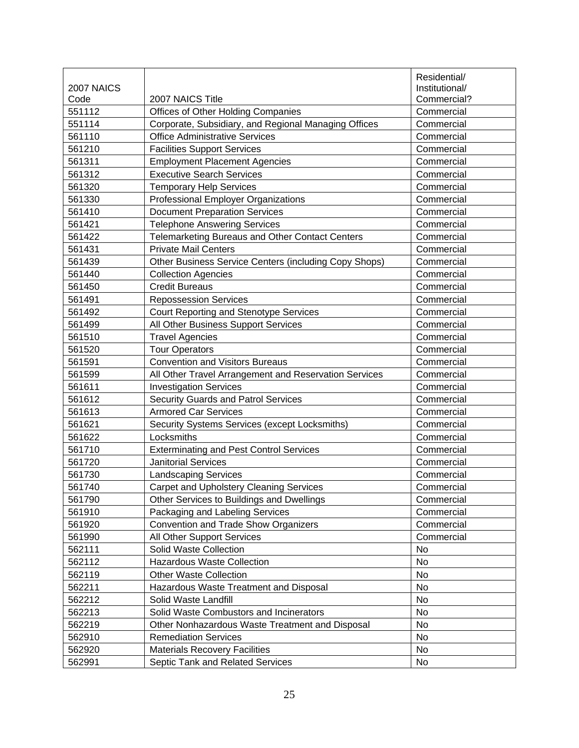|            |                                                       | Residential/   |
|------------|-------------------------------------------------------|----------------|
| 2007 NAICS |                                                       | Institutional/ |
| Code       | 2007 NAICS Title                                      | Commercial?    |
| 551112     | Offices of Other Holding Companies                    | Commercial     |
| 551114     | Corporate, Subsidiary, and Regional Managing Offices  | Commercial     |
| 561110     | <b>Office Administrative Services</b>                 | Commercial     |
| 561210     | <b>Facilities Support Services</b>                    | Commercial     |
| 561311     | <b>Employment Placement Agencies</b>                  | Commercial     |
| 561312     | <b>Executive Search Services</b>                      | Commercial     |
| 561320     | <b>Temporary Help Services</b>                        | Commercial     |
| 561330     | Professional Employer Organizations                   | Commercial     |
| 561410     | <b>Document Preparation Services</b>                  | Commercial     |
| 561421     | <b>Telephone Answering Services</b>                   | Commercial     |
| 561422     | Telemarketing Bureaus and Other Contact Centers       | Commercial     |
| 561431     | <b>Private Mail Centers</b>                           | Commercial     |
| 561439     | Other Business Service Centers (including Copy Shops) | Commercial     |
| 561440     | <b>Collection Agencies</b>                            | Commercial     |
| 561450     | <b>Credit Bureaus</b>                                 | Commercial     |
| 561491     | <b>Repossession Services</b>                          | Commercial     |
| 561492     | <b>Court Reporting and Stenotype Services</b>         | Commercial     |
| 561499     | All Other Business Support Services                   | Commercial     |
| 561510     | <b>Travel Agencies</b>                                | Commercial     |
| 561520     | <b>Tour Operators</b>                                 | Commercial     |
| 561591     | <b>Convention and Visitors Bureaus</b>                | Commercial     |
| 561599     | All Other Travel Arrangement and Reservation Services | Commercial     |
| 561611     | <b>Investigation Services</b>                         | Commercial     |
| 561612     | Security Guards and Patrol Services                   | Commercial     |
| 561613     | <b>Armored Car Services</b>                           | Commercial     |
| 561621     | Security Systems Services (except Locksmiths)         | Commercial     |
| 561622     | Locksmiths                                            | Commercial     |
| 561710     | <b>Exterminating and Pest Control Services</b>        | Commercial     |
| 561720     | <b>Janitorial Services</b>                            | Commercial     |
| 561730     | <b>Landscaping Services</b>                           | Commercial     |
| 561740     | <b>Carpet and Upholstery Cleaning Services</b>        | Commercial     |
| 561790     | Other Services to Buildings and Dwellings             | Commercial     |
| 561910     | Packaging and Labeling Services                       | Commercial     |
| 561920     | Convention and Trade Show Organizers                  | Commercial     |
| 561990     | All Other Support Services                            | Commercial     |
| 562111     | Solid Waste Collection                                | No             |
| 562112     | <b>Hazardous Waste Collection</b>                     | <b>No</b>      |
| 562119     | <b>Other Waste Collection</b>                         | No             |
| 562211     | Hazardous Waste Treatment and Disposal                | No             |
| 562212     | Solid Waste Landfill                                  | No             |
| 562213     | Solid Waste Combustors and Incinerators               | No             |
| 562219     | Other Nonhazardous Waste Treatment and Disposal       | No             |
| 562910     | <b>Remediation Services</b>                           | No             |
| 562920     | <b>Materials Recovery Facilities</b>                  | No             |
| 562991     | Septic Tank and Related Services                      | No             |
|            |                                                       |                |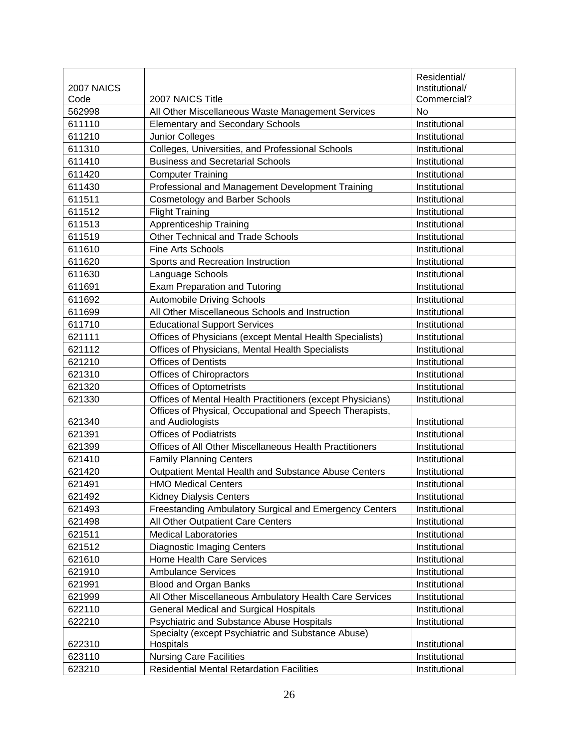|            |                                                                 | Residential/   |
|------------|-----------------------------------------------------------------|----------------|
| 2007 NAICS |                                                                 | Institutional/ |
| Code       | 2007 NAICS Title                                                | Commercial?    |
| 562998     | All Other Miscellaneous Waste Management Services               | No             |
| 611110     | <b>Elementary and Secondary Schools</b>                         | Institutional  |
| 611210     | Junior Colleges                                                 | Institutional  |
| 611310     | Colleges, Universities, and Professional Schools                | Institutional  |
| 611410     | <b>Business and Secretarial Schools</b>                         | Institutional  |
| 611420     | <b>Computer Training</b>                                        | Institutional  |
| 611430     | Professional and Management Development Training                | Institutional  |
| 611511     | <b>Cosmetology and Barber Schools</b>                           | Institutional  |
| 611512     | <b>Flight Training</b>                                          | Institutional  |
| 611513     | Apprenticeship Training                                         | Institutional  |
| 611519     | <b>Other Technical and Trade Schools</b>                        | Institutional  |
| 611610     | <b>Fine Arts Schools</b>                                        | Institutional  |
| 611620     | Sports and Recreation Instruction                               | Institutional  |
| 611630     | Language Schools                                                | Institutional  |
| 611691     | <b>Exam Preparation and Tutoring</b>                            | Institutional  |
| 611692     | <b>Automobile Driving Schools</b>                               | Institutional  |
| 611699     | All Other Miscellaneous Schools and Instruction                 | Institutional  |
| 611710     | <b>Educational Support Services</b>                             | Institutional  |
| 621111     | Offices of Physicians (except Mental Health Specialists)        | Institutional  |
| 621112     | Offices of Physicians, Mental Health Specialists                | Institutional  |
| 621210     | <b>Offices of Dentists</b>                                      | Institutional  |
| 621310     | Offices of Chiropractors                                        | Institutional  |
| 621320     | <b>Offices of Optometrists</b>                                  | Institutional  |
| 621330     | Offices of Mental Health Practitioners (except Physicians)      | Institutional  |
|            | Offices of Physical, Occupational and Speech Therapists,        |                |
| 621340     | and Audiologists                                                | Institutional  |
| 621391     | <b>Offices of Podiatrists</b>                                   | Institutional  |
| 621399     | Offices of All Other Miscellaneous Health Practitioners         | Institutional  |
| 621410     | <b>Family Planning Centers</b>                                  | Institutional  |
| 621420     | Outpatient Mental Health and Substance Abuse Centers            | Institutional  |
| 621491     | <b>HMO Medical Centers</b>                                      | Institutional  |
| 621492     | <b>Kidney Dialysis Centers</b>                                  | Institutional  |
| 621493     | Freestanding Ambulatory Surgical and Emergency Centers          | Institutional  |
| 621498     | All Other Outpatient Care Centers                               | Institutional  |
| 621511     | <b>Medical Laboratories</b>                                     | Institutional  |
| 621512     | <b>Diagnostic Imaging Centers</b>                               | Institutional  |
| 621610     | Home Health Care Services                                       | Institutional  |
| 621910     | <b>Ambulance Services</b>                                       | Institutional  |
| 621991     | Blood and Organ Banks                                           | Institutional  |
| 621999     | All Other Miscellaneous Ambulatory Health Care Services         | Institutional  |
| 622110     | <b>General Medical and Surgical Hospitals</b>                   | Institutional  |
| 622210     | Psychiatric and Substance Abuse Hospitals                       | Institutional  |
| 622310     | Specialty (except Psychiatric and Substance Abuse)<br>Hospitals | Institutional  |
| 623110     | <b>Nursing Care Facilities</b>                                  | Institutional  |
|            |                                                                 |                |
| 623210     | <b>Residential Mental Retardation Facilities</b>                | Institutional  |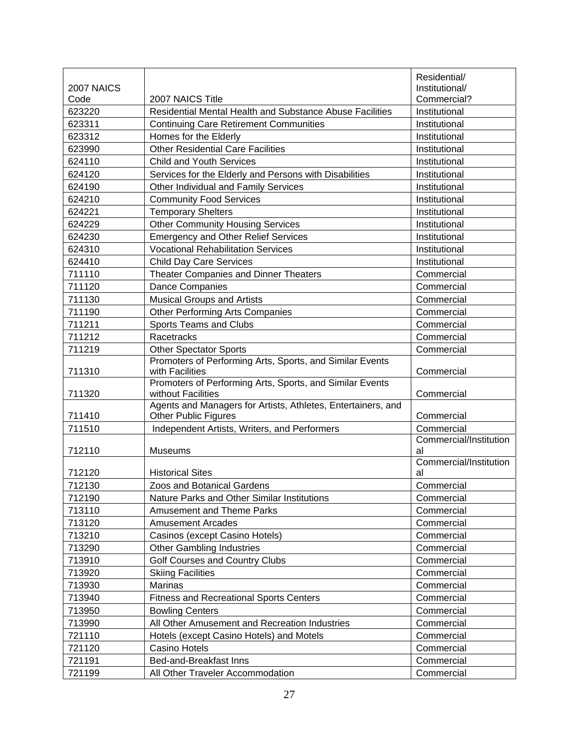|            |                                                                                             | Residential/           |
|------------|---------------------------------------------------------------------------------------------|------------------------|
| 2007 NAICS |                                                                                             | Institutional/         |
| Code       | 2007 NAICS Title                                                                            | Commercial?            |
| 623220     | Residential Mental Health and Substance Abuse Facilities                                    | Institutional          |
| 623311     | <b>Continuing Care Retirement Communities</b>                                               | Institutional          |
| 623312     | Homes for the Elderly                                                                       | Institutional          |
| 623990     | <b>Other Residential Care Facilities</b>                                                    | Institutional          |
| 624110     | <b>Child and Youth Services</b>                                                             | Institutional          |
| 624120     | Services for the Elderly and Persons with Disabilities                                      | Institutional          |
| 624190     | Other Individual and Family Services                                                        | Institutional          |
| 624210     | <b>Community Food Services</b>                                                              | Institutional          |
| 624221     | <b>Temporary Shelters</b>                                                                   | Institutional          |
| 624229     | <b>Other Community Housing Services</b>                                                     | Institutional          |
| 624230     | <b>Emergency and Other Relief Services</b>                                                  | Institutional          |
| 624310     | <b>Vocational Rehabilitation Services</b>                                                   | Institutional          |
| 624410     | <b>Child Day Care Services</b>                                                              | Institutional          |
| 711110     | <b>Theater Companies and Dinner Theaters</b>                                                | Commercial             |
| 711120     | <b>Dance Companies</b>                                                                      | Commercial             |
| 711130     | <b>Musical Groups and Artists</b>                                                           | Commercial             |
| 711190     | Other Performing Arts Companies                                                             | Commercial             |
| 711211     | Sports Teams and Clubs                                                                      | Commercial             |
| 711212     | Racetracks                                                                                  | Commercial             |
| 711219     | <b>Other Spectator Sports</b>                                                               | Commercial             |
|            | Promoters of Performing Arts, Sports, and Similar Events                                    |                        |
| 711310     | with Facilities                                                                             | Commercial             |
|            | Promoters of Performing Arts, Sports, and Similar Events                                    |                        |
| 711320     | without Facilities                                                                          | Commercial             |
| 711410     | Agents and Managers for Artists, Athletes, Entertainers, and<br><b>Other Public Figures</b> | Commercial             |
| 711510     | Independent Artists, Writers, and Performers                                                | Commercial             |
|            |                                                                                             | Commercial/Institution |
| 712110     | <b>Museums</b>                                                                              | al                     |
|            |                                                                                             | Commercial/Institution |
| 712120     | <b>Historical Sites</b>                                                                     | al                     |
| 712130     | Zoos and Botanical Gardens                                                                  | Commercial             |
| 712190     | Nature Parks and Other Similar Institutions                                                 | Commercial             |
| 713110     | Amusement and Theme Parks                                                                   | Commercial             |
| 713120     | <b>Amusement Arcades</b>                                                                    | Commercial             |
| 713210     | Casinos (except Casino Hotels)                                                              | Commercial             |
| 713290     | <b>Other Gambling Industries</b>                                                            | Commercial             |
| 713910     | Golf Courses and Country Clubs                                                              | Commercial             |
| 713920     | <b>Skiing Facilities</b>                                                                    | Commercial             |
| 713930     | Marinas                                                                                     | Commercial             |
| 713940     | <b>Fitness and Recreational Sports Centers</b>                                              | Commercial             |
| 713950     | <b>Bowling Centers</b>                                                                      | Commercial             |
| 713990     | All Other Amusement and Recreation Industries                                               | Commercial             |
| 721110     | Hotels (except Casino Hotels) and Motels                                                    | Commercial             |
| 721120     | Casino Hotels                                                                               | Commercial             |
| 721191     | Bed-and-Breakfast Inns                                                                      | Commercial             |
| 721199     | All Other Traveler Accommodation                                                            | Commercial             |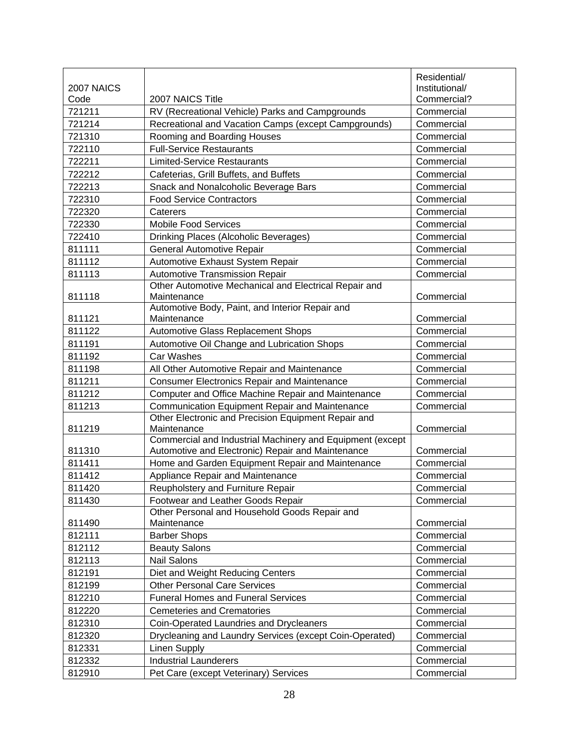|            |                                                                          | Residential/   |
|------------|--------------------------------------------------------------------------|----------------|
| 2007 NAICS |                                                                          | Institutional/ |
| Code       | 2007 NAICS Title                                                         | Commercial?    |
| 721211     | RV (Recreational Vehicle) Parks and Campgrounds                          | Commercial     |
| 721214     | Recreational and Vacation Camps (except Campgrounds)                     | Commercial     |
| 721310     | Rooming and Boarding Houses                                              | Commercial     |
| 722110     | <b>Full-Service Restaurants</b>                                          | Commercial     |
| 722211     | <b>Limited-Service Restaurants</b>                                       | Commercial     |
| 722212     | Cafeterias, Grill Buffets, and Buffets                                   | Commercial     |
| 722213     | Snack and Nonalcoholic Beverage Bars                                     | Commercial     |
| 722310     | <b>Food Service Contractors</b>                                          | Commercial     |
| 722320     | Caterers                                                                 | Commercial     |
| 722330     | <b>Mobile Food Services</b>                                              | Commercial     |
| 722410     | Drinking Places (Alcoholic Beverages)                                    | Commercial     |
| 811111     | <b>General Automotive Repair</b>                                         | Commercial     |
| 811112     | Automotive Exhaust System Repair                                         | Commercial     |
| 811113     | Automotive Transmission Repair                                           | Commercial     |
|            | Other Automotive Mechanical and Electrical Repair and                    |                |
| 811118     | Maintenance                                                              | Commercial     |
|            | Automotive Body, Paint, and Interior Repair and                          |                |
| 811121     | Maintenance                                                              | Commercial     |
| 811122     | <b>Automotive Glass Replacement Shops</b>                                | Commercial     |
| 811191     | Automotive Oil Change and Lubrication Shops                              | Commercial     |
| 811192     | Car Washes                                                               | Commercial     |
| 811198     | All Other Automotive Repair and Maintenance                              | Commercial     |
| 811211     | <b>Consumer Electronics Repair and Maintenance</b>                       | Commercial     |
| 811212     | Computer and Office Machine Repair and Maintenance                       | Commercial     |
| 811213     | Communication Equipment Repair and Maintenance                           | Commercial     |
|            | Other Electronic and Precision Equipment Repair and                      |                |
| 811219     | Maintenance<br>Commercial and Industrial Machinery and Equipment (except | Commercial     |
| 811310     | Automotive and Electronic) Repair and Maintenance                        | Commercial     |
| 811411     | Home and Garden Equipment Repair and Maintenance                         | Commercial     |
| 811412     | Appliance Repair and Maintenance                                         | Commercial     |
| 811420     | Reupholstery and Furniture Repair                                        | Commercial     |
| 811430     | Footwear and Leather Goods Repair                                        | Commercial     |
|            | Other Personal and Household Goods Repair and                            |                |
| 811490     | Maintenance                                                              | Commercial     |
| 812111     | <b>Barber Shops</b>                                                      | Commercial     |
| 812112     | <b>Beauty Salons</b>                                                     | Commercial     |
| 812113     | <b>Nail Salons</b>                                                       | Commercial     |
| 812191     | Diet and Weight Reducing Centers                                         | Commercial     |
| 812199     | <b>Other Personal Care Services</b>                                      | Commercial     |
| 812210     | <b>Funeral Homes and Funeral Services</b>                                | Commercial     |
| 812220     | <b>Cemeteries and Crematories</b>                                        | Commercial     |
| 812310     | Coin-Operated Laundries and Drycleaners                                  | Commercial     |
| 812320     | Drycleaning and Laundry Services (except Coin-Operated)                  | Commercial     |
| 812331     | <b>Linen Supply</b>                                                      | Commercial     |
| 812332     | <b>Industrial Launderers</b>                                             | Commercial     |
| 812910     | Pet Care (except Veterinary) Services                                    | Commercial     |
|            |                                                                          |                |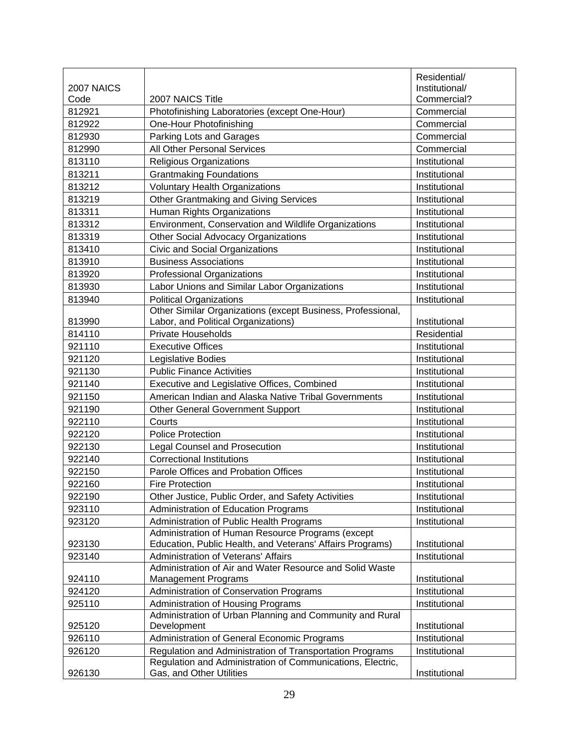|            |                                                                                                                        | Residential/   |
|------------|------------------------------------------------------------------------------------------------------------------------|----------------|
| 2007 NAICS |                                                                                                                        | Institutional/ |
| Code       | 2007 NAICS Title                                                                                                       | Commercial?    |
| 812921     | Photofinishing Laboratories (except One-Hour)                                                                          | Commercial     |
| 812922     | One-Hour Photofinishing                                                                                                | Commercial     |
| 812930     | Parking Lots and Garages                                                                                               | Commercial     |
| 812990     | All Other Personal Services                                                                                            | Commercial     |
| 813110     | Religious Organizations                                                                                                | Institutional  |
| 813211     | <b>Grantmaking Foundations</b>                                                                                         | Institutional  |
| 813212     | <b>Voluntary Health Organizations</b>                                                                                  | Institutional  |
| 813219     | Other Grantmaking and Giving Services                                                                                  | Institutional  |
| 813311     | Human Rights Organizations                                                                                             | Institutional  |
| 813312     | Environment, Conservation and Wildlife Organizations                                                                   | Institutional  |
| 813319     | <b>Other Social Advocacy Organizations</b>                                                                             | Institutional  |
| 813410     | Civic and Social Organizations                                                                                         | Institutional  |
| 813910     | <b>Business Associations</b>                                                                                           | Institutional  |
| 813920     | <b>Professional Organizations</b>                                                                                      | Institutional  |
| 813930     | Labor Unions and Similar Labor Organizations                                                                           | Institutional  |
| 813940     | <b>Political Organizations</b>                                                                                         | Institutional  |
|            | Other Similar Organizations (except Business, Professional,                                                            |                |
| 813990     | Labor, and Political Organizations)                                                                                    | Institutional  |
| 814110     | <b>Private Households</b>                                                                                              | Residential    |
| 921110     | <b>Executive Offices</b>                                                                                               | Institutional  |
| 921120     | Legislative Bodies                                                                                                     | Institutional  |
| 921130     | <b>Public Finance Activities</b>                                                                                       | Institutional  |
| 921140     | Executive and Legislative Offices, Combined                                                                            | Institutional  |
| 921150     | American Indian and Alaska Native Tribal Governments                                                                   | Institutional  |
| 921190     | <b>Other General Government Support</b>                                                                                | Institutional  |
| 922110     | Courts                                                                                                                 | Institutional  |
| 922120     | <b>Police Protection</b>                                                                                               | Institutional  |
| 922130     | <b>Legal Counsel and Prosecution</b>                                                                                   | Institutional  |
| 922140     | <b>Correctional Institutions</b>                                                                                       | Institutional  |
| 922150     | Parole Offices and Probation Offices                                                                                   | Institutional  |
| 922160     | <b>Fire Protection</b>                                                                                                 | Institutional  |
| 922190     | Other Justice, Public Order, and Safety Activities                                                                     | Institutional  |
| 923110     | Administration of Education Programs                                                                                   | Institutional  |
| 923120     | Administration of Public Health Programs                                                                               | Institutional  |
|            | Administration of Human Resource Programs (except                                                                      |                |
| 923130     | Education, Public Health, and Veterans' Affairs Programs)                                                              | Institutional  |
| 923140     | Administration of Veterans' Affairs                                                                                    | Institutional  |
|            | Administration of Air and Water Resource and Solid Waste                                                               |                |
| 924110     | <b>Management Programs</b>                                                                                             | Institutional  |
| 924120     | Administration of Conservation Programs                                                                                | Institutional  |
| 925110     | Administration of Housing Programs                                                                                     | Institutional  |
|            | Administration of Urban Planning and Community and Rural                                                               |                |
| 925120     | Development                                                                                                            | Institutional  |
| 926110     | Administration of General Economic Programs                                                                            | Institutional  |
| 926120     | Regulation and Administration of Transportation Programs<br>Regulation and Administration of Communications, Electric, | Institutional  |
| 926130     | Gas, and Other Utilities                                                                                               | Institutional  |
|            |                                                                                                                        |                |